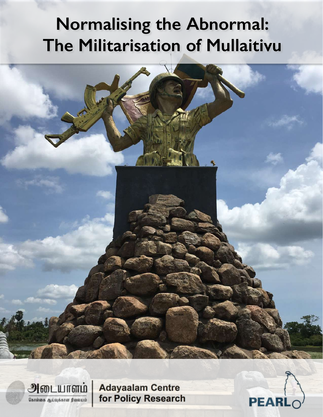# **Normalising the Abnormal: The Militarisation of Mullaitivu**

அடையாளம் கொள்கை ஆய்வுக்கான நிலையம்

**Adayaalam Centre** for Policy Research

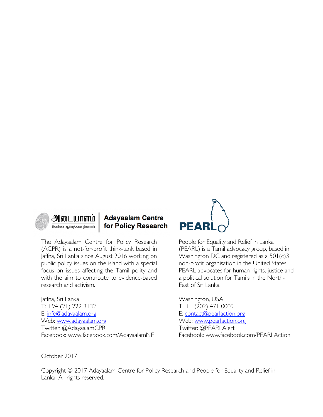

# **Adayaalam Centre** for Policy Research

The Adayaalam Centre for Policy Research (ACPR) is a not-for-profit think-tank based in Jaffna, Sri Lanka since August 2016 working on public policy issues on the island with a special focus on issues affecting the Tamil polity and with the aim to contribute to evidence-based research and activism.

Jaffna, Sri Lanka T: +94 (21) 222 3132 E: info@adayaalam.org Web: www.adayaalam.org Twitter: @AdayaalamCPR Facebook: www.facebook.com/AdayaalamNE



People for Equality and Relief in Lanka (PEARL) is a Tamil advocacy group, based in Washington DC and registered as a 501(c)3 non-profit organisation in the United States. PEARL advocates for human rights, justice and a political solution for Tamils in the North-East of Sri Lanka.

Washington, USA T: +1 (202) 471 0009 E: contact@pearlaction.org Web: www.pearlaction.org Twitter: @PEARLAlert Facebook: www.facebook.com/PEARLAction

October 2017

Copyright © 2017 Adayaalam Centre for Policy Research and People for Equality and Relief in Lanka. All rights reserved.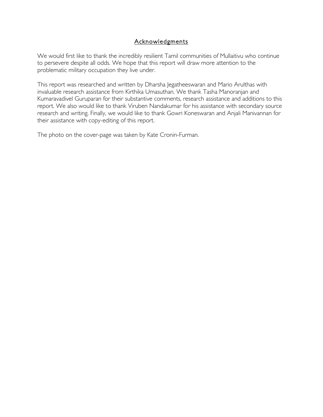## Acknowledgments

We would first like to thank the incredibly resilient Tamil communities of Mullaitivu who continue to persevere despite all odds. We hope that this report will draw more attention to the problematic military occupation they live under.

This report was researched and written by Dharsha Jegatheeswaran and Mario Arulthas with invaluable research assistance from Kirthika Umasuthan. We thank Tasha Manoranjan and Kumaravadivel Guruparan for their substantive comments, research assistance and additions to this report. We also would like to thank Viruben Nandakumar for his assistance with secondary source research and writing. Finally, we would like to thank Gowri Koneswaran and Anjali Manivannan for their assistance with copy-editing of this report.

The photo on the cover-page was taken by Kate Cronin-Furman.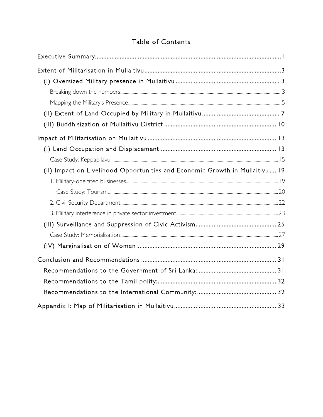# Table of Contents

| (II) Impact on Livelihood Opportunities and Economic Growth in Mullaitivu 19 |
|------------------------------------------------------------------------------|
|                                                                              |
|                                                                              |
|                                                                              |
|                                                                              |
|                                                                              |
|                                                                              |
|                                                                              |
|                                                                              |
|                                                                              |
|                                                                              |
|                                                                              |
|                                                                              |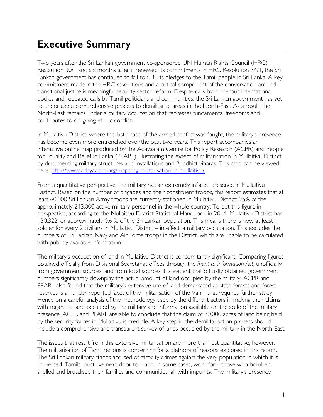# **Executive Summary**

Two years after the Sri Lankan government co-sponsored UN Human Rights Council (HRC) Resolution 30/1 and six months after it renewed its commitments in HRC Resolution 34/1, the Sri Lankan government has continued to fail to fulfil its pledges to the Tamil people in Sri Lanka. A key commitment made in the HRC resolutions and a critical component of the conversation around transitional justice is meaningful security sector reform. Despite calls by numerous international bodies and repeated calls by Tamil politicians and communities, the Sri Lankan government has yet to undertake a comprehensive process to demilitarise areas in the North-East. As a result, the North-East remains under a military occupation that represses fundamental freedoms and contributes to on-going ethnic conflict.

In Mullaitivu District, where the last phase of the armed conflict was fought, the military's presence has become even more entrenched over the past two years. This report accompanies an interactive online map produced by the Adayaalam Centre for Policy Research (ACPR) and People for Equality and Relief in Lanka (PEARL), illustrating the extent of militarisation in Mullaitivu District by documenting military structures and installations and Buddhist viharas. This map can be viewed here: http://www.adayaalam.org/mapping-militarisation-in-mullaitivu/.

From a quantitative perspective, the military has an extremely inflated presence in Mullaitivu District. Based on the number of brigades and their constituent troops, this report estimates that at least 60,000 Sri Lankan Army troops are currently stationed in Mullaitivu District; 25% of the approximately 243,000 active military personnel in the whole country. To put this figure in perspective, according to the Mullaitivu District Statistical Handbook in 2014, Mullaitivu District has 130,322, or approximately 0.6 % of the Sri Lankan population. This means there is now at least 1 soldier for every 2 civilians in Mullaitivu District – in effect, a military occupation. This excludes the numbers of Sri Lankan Navy and Air Force troops in the District, which are unable to be calculated with publicly available information.

The military's occupation of land in Mullaitivu District is concomitantly significant. Comparing figures obtained officially from Divisional Secretariat offices through the *Right to Information Act*, unofficially from government sources, and from local sources it is evident that officially obtained government numbers significantly downplay the actual amount of land occupied by the military. ACPR and PEARL also found that the military's extensive use of land demarcated as state forests and forest reserves is an under reported facet of the militarisation of the Vanni that requires further study. Hence on a careful analysis of the methodology used by the different actors in making their claims with regard to land occupied by the military and information available on the scale of the military presence, ACPR and PEARL are able to conclude that the claim of 30,000 acres of land being held by the security forces in Mullaitivu is credible. A key step in the demilitarisation process should include a comprehensive and transparent survey of lands occupied by the military in the North-East.

The issues that result from this extensive militarisation are more than just quantitative, however. The militarisation of Tamil regions is concerning for a plethora of reasons explored in this report. The Sri Lankan military stands accused of atrocity crimes against the very population in which it is immersed. Tamils must live next door to—and, in some cases, work for—those who bombed, shelled and brutalised their families and communities, all with impunity. The military's presence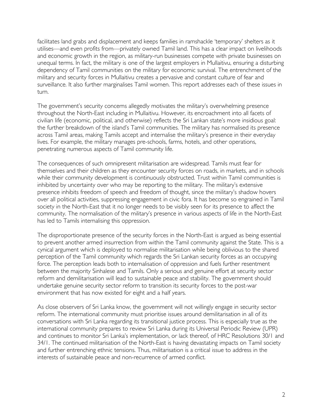facilitates land grabs and displacement and keeps families in ramshackle 'temporary' shelters as it utilises—and even profits from—privately owned Tamil land. This has a clear impact on livelihoods and economic growth in the region, as military-run businesses compete with private businesses on unequal terms. In fact, the military is one of the largest employers in Mullaitivu, ensuring a disturbing dependency of Tamil communities on the military for economic survival. The entrenchment of the military and security forces in Mullaitivu creates a pervasive and constant culture of fear and surveillance. It also further marginalises Tamil women. This report addresses each of these issues in turn.

The government's security concerns allegedly motivates the military's overwhelming presence throughout the North-East including in Mullaitivu. However, its encroachment into all facets of civilian life (economic, political, and otherwise) reflects the Sri Lankan state's more insidious goal: the further breakdown of the island's Tamil communities. The military has normalised its presence across Tamil areas, making Tamils accept and internalise the military's presence in their everyday lives. For example, the military manages pre-schools, farms, hotels, and other operations, penetrating numerous aspects of Tamil community life.

The consequences of such omnipresent militarisation are widespread. Tamils must fear for themselves and their children as they encounter security forces on roads, in markets, and in schools while their community development is continuously obstructed. Trust within Tamil communities is inhibited by uncertainty over who may be reporting to the military. The military's extensive presence inhibits freedom of speech and freedom of thought, since the military's shadow hovers over all political activities, suppressing engagement in civic fora. It has become so engrained in Tamil society in the North-East that it no longer needs to be visibly seen for its presence to affect the community. The normalisation of the military's presence in various aspects of life in the North-East has led to Tamils internalising this oppression.

The disproportionate presence of the security forces in the North-East is argued as being essential to prevent another armed insurrection from within the Tamil community against the State. This is a cynical argument which is deployed to normalise militarisation while being oblivious to the shared perception of the Tamil community which regards the Sri Lankan security forces as an occupying force. The perception leads both to internalisation of oppression and fuels further resentment between the majority Sinhalese and Tamils. Only a serious and genuine effort at security sector reform and demilitarisation will lead to sustainable peace and stability. The government should undertake genuine security sector reform to transition its security forces to the post-war environment that has now existed for eight and a half years.

As close observers of Sri Lanka know, the government will not willingly engage in security sector reform. The international community must prioritise issues around demilitarisation in all of its conversations with Sri Lanka regarding its transitional justice process. This is especially true as the international community prepares to review Sri Lanka during its Universal Periodic Review (UPR) and continues to monitor Sri Lanka's implementation, or lack thereof, of HRC Resolutions 30/1 and 34/1. The continued militarisation of the North-East is having devastating impacts on Tamil society and further entrenching ethnic tensions. Thus, militarisation is a critical issue to address in the interests of sustainable peace and non-recurrence of armed conflict.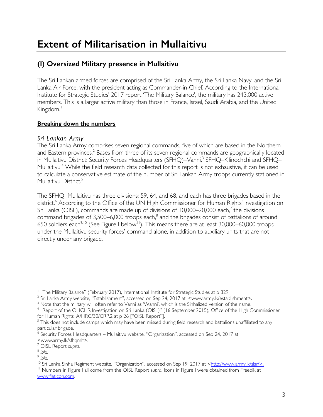# **(I) Oversized Military presence in Mullaitivu**

The Sri Lankan armed forces are comprised of the Sri Lanka Army, the Sri Lanka Navy, and the Sri Lanka Air Force, with the president acting as Commander-in-Chief. According to the International Institute for Strategic Studies' 2017 report 'The Military Balance', the military has 243,000 active members. This is a larger active military than those in France, Israel, Saudi Arabia, and the United Kingdom. 1

# **Breaking down the numbers**

# *Sri Lankan Army*

The Sri Lanka Army comprises seven regional commands, five of which are based in the Northern and Eastern provinces.<sup>2</sup> Bases from three of its seven regional commands are geographically located in Mullaitivu District: Security Forces Headquarters (SFHQ)–Vanni,<sup>3</sup> SFHQ–Kilinochchi and SFHQ– Mullaitivu.<sup>4</sup> While the field research data collected for this report is not exhaustive, it can be used to calculate a conservative estimate of the number of Sri Lankan Army troops currently stationed in Mullaitivu District.<sup>5</sup>

The SFHQ–Mullaitivu has three divisions: 59, 64, and 68, and each has three brigades based in the district.<sup>6</sup> According to the Office of the UN High Commissioner for Human Rights' Investigation on Sri Lanka (OISL), commands are made up of divisions of 10,000–20,000 each,<sup>7</sup> the divisions command brigades of  $3,500-6,000$  troops each, $^8$  and the brigades consist of battalions of around 650 soldiers each<sup>9,10</sup> (See Figure I below<sup>11</sup>). This means there are at least 30,000–60,000 troops under the Mullaitivu security forces' command alone, in addition to auxiliary units that are not directly under any brigade.

<sup>&</sup>lt;sup>1</sup> "The Military Balance" (February 2017), International Institute for Strategic Studies at p 329

<sup>&</sup>lt;sup>2</sup> Sri Lanka Army website, "Establishment", accessed on Sep 24, 2017 at: <www.army.lk/establishment>.

 $3$  Note that the military will often refer to Vanni as 'Wanni', which is the Sinhalized version of the name.

<sup>4</sup> "Report of the OHCHR Investigation on Sri Lanka (OISL)" (16 September 2015), Office of the High Commissioner for Human Rights, A/HRC/30/CRP.2 at p 26 ["OISL Report"].

 $5$  This does not include camps which may have been missed during field research and battalions unaffiliated to any particular brigade.

<sup>6</sup> Security Forces Headquarters – Mullaitivu website, "Organization", accessed on Sep 24, 2017 at

<sup>&</sup>lt;www.army.lk/sfhqmlt>.

<sup>7</sup> OISL Report *supra.* 

<sup>8</sup> *Ibid.*

<sup>9</sup> *Ibid.*

<sup>&</sup>lt;sup>10</sup> Sri Lanka Sinha Regiment website, "Organization", accessed on Sep 19, 2017 at <http://www.army.lk/slsr/>.

<sup>11</sup> Numbers in Figure I all come from the OISL Report *supra.* Icons in Figure I were obtained from Freepik at www.flaticon.com.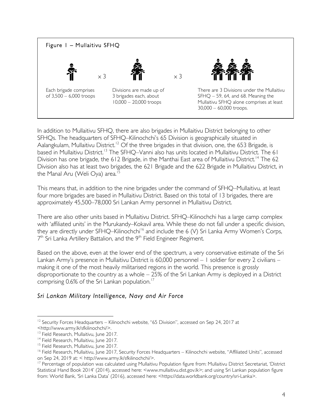

In addition to Mullaitivu SFHQ, there are also brigades in Mullaitivu District belonging to other SFHQs. The headquarters of SFHQ–Kilinochchi's 65 Division is geographically situated in Aalangkulam, Mullaitivu District.<sup>12</sup> Of the three brigades in that division, one, the 653 Brigade, is based in Mullaitivu District.<sup>13</sup> The SFHQ–Vanni also has units located in Mullaitivu District. The 61 Division has one brigade, the 612 Brigade, in the Manthai East area of Mullaitivu District.<sup>14</sup> The 62 Division also has at least two brigades, the 621 Brigade and the 622 Brigade in Mullaitivu District, in the Manal Aru (Weli Oya) area.<sup>15</sup>

This means that, in addition to the nine brigades under the command of SFHQ–Mullaitivu, at least four more brigades are based in Mullaitivu District. Based on this total of 13 brigades, there are approximately 45,500–78,000 Sri Lankan Army personnel in Mullaitivu District.

There are also other units based in Mullaitivu District. SFHQ–Kilinochchi has a large camp complex with 'affiliated units' in the Murukandy–Kokavil area. While these do not fall under a specific division, they are directly under SFHQ-Kilinochchi<sup>16</sup> and include the 6 (V) Sri Lanka Army Women's Corps,  $7<sup>th</sup>$  Sri Lanka Artillery Battalion, and the  $9<sup>th</sup>$  Field Engineer Regiment.

Based on the above, even at the lower end of the spectrum, a very conservative estimate of the Sri Lankan Army's presence in Mullaitivu District is 60,000 personnel – 1 soldier for every 2 civilians – making it one of the most heavily militarised regions in the world. This presence is grossly disproportionate to the country as a whole – 25% of the Sri Lankan Army is deployed in a District comprising 0.6% of the Sri Lankan population.<sup>17</sup>

#### *Sri Lankan Military Intelligence, Navy and Air Force*

 $12$  Security Forces Headquarters – Kilinochchi website, "65 Division", accessed on Sep 24, 2017 at <http://www.army.lk/sfkilinochchi/>.

<sup>&</sup>lt;sup>13</sup> Field Research, Mullaitivu, June 2017.

<sup>&</sup>lt;sup>14</sup> Field Research, Mullaitivu, June 2017.

<sup>&</sup>lt;sup>15</sup> Field Research, Mullaitivu, June 2017.

<sup>&</sup>lt;sup>16</sup> Field Research, Mullaitivu, June 2017, Security Forces Headquarters – Kilinochchi website, "Affiliated Units", accessed on Sep 24, 2019 at: < http://www.army.lk/sfkilinochchi/>.<br><sup>17</sup> Percentage of population was calculated using Mullaitivu Population figure from: Mullaitivu District Secretariat, 'District

Statistical Hand Book 2014' (2014), accessed here: <www.mullaitivu.dist.gov.lk>; and using Sri Lankan population figure from: World Bank, 'Sri Lanka Data' (2016), accessed here: <https://data.worldbank.org/country/sri-Lanka>.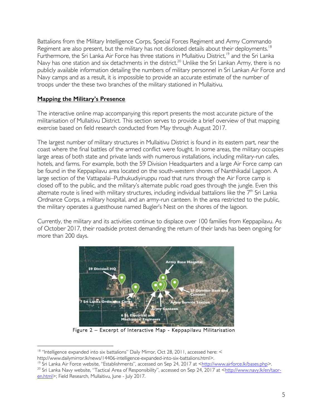Battalions from the Military Intelligence Corps, Special Forces Regiment and Army Commando Regiment are also present, but the military has not disclosed details about their deployments.<sup>18</sup> Furthermore, the Sri Lanka Air Force has three stations in Mullaitivu District,<sup>19</sup> and the Sri Lanka Navy has one station and six detachments in the district.<sup>20</sup> Unlike the Sri Lankan Army, there is no publicly available information detailing the numbers of military personnel in Sri Lankan Air Force and Navy camps and as a result, it is impossible to provide an accurate estimate of the number of troops under the these two branches of the military stationed in Mullaitivu.

## **Mapping the Military's Presence**

The interactive online map accompanying this report presents the most accurate picture of the militarisation of Mullaitivu District. This section serves to provide a brief overview of that mapping exercise based on field research conducted from May through August 2017.

The largest number of military structures in Mullaitivu District is found in its eastern part, near the coast where the final battles of the armed conflict were fought. In some areas, the military occupies large areas of both state and private lands with numerous installations, including military-run cafes, hotels, and farms. For example, both the 59 Division Headquarters and a large Air Force camp can be found in the Keppapilavu area located on the south-western shores of Nanthikadal Lagoon. A large section of the Vattapalai–Puthukudiyiruppu road that runs through the Air Force camp is closed off to the public, and the military's alternate public road goes through the jungle. Even this alternate route is lined with military structures, including individual battalions like the  $7<sup>th</sup>$  Sri Lanka Ordnance Corps, a military hospital, and an army-run canteen. In the area restricted to the public, the military operates a guesthouse named Bugler's Nest on the shores of the lagoon.

Currently, the military and its activities continue to displace over 100 families from Keppapilavu. As of October 2017, their roadside protest demanding the return of their lands has been ongoing for more than 200 days.



Figure 2 – Excerpt of Interactive Map - Keppapilavu Militarisation

<sup>&</sup>lt;sup>18</sup> "Intelligence expanded into six battalions" Daily Mirror, Oct 28, 2011, accessed here: <

http://www.dailymirror.lk/news/14406-intelligence-expanded-into-six-battalions.html>.<br><sup>19</sup> Sri Lanka Air Force website, "Establishments", accessed on Sep 24, 2017 at <http://www.airforce.lk/bases.php>. <sup>20</sup> Sri Lanka Navy website, "Tactical Area of Responsibility", accessed on Sep 24, 2017 at <http://www.navy.lk/en/taor-

en.html>; Field Research, Mullaitivu, June - July 2017.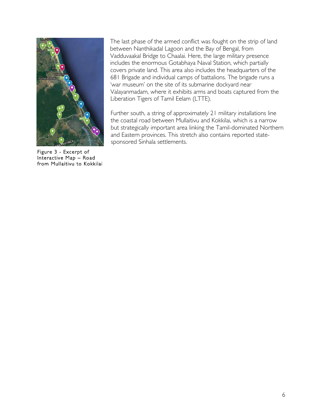

Figure 3 - Excerpt of Interactive Map – Road from Mullaitivu to Kokkilai

The last phase of the armed conflict was fought on the strip of land between Nanthikadal Lagoon and the Bay of Bengal, from Vadduvaakal Bridge to Chaalai. Here, the large military presence includes the enormous Gotabhaya Naval Station, which partially covers private land. This area also includes the headquarters of the 681 Brigade and individual camps of battalions. The brigade runs a 'war museum' on the site of its submarine dockyard near Valayanmadam, where it exhibits arms and boats captured from the Liberation Tigers of Tamil Eelam (LTTE).

Further south, a string of approximately 21 military installations line the coastal road between Mullaitivu and Kokkilai, which is a narrow but strategically important area linking the Tamil-dominated Northern and Eastern provinces. This stretch also contains reported statesponsored Sinhala settlements.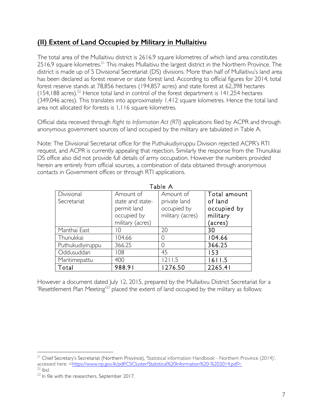# **(II) Extent of Land Occupied by Military in Mullaitivu**

The total area of the Mullaitivu district is 2616.9 square kilometres of which land area constitutes 2516.9 square kilometres.<sup>21</sup> This makes Mullaitivu the largest district in the Northern Province. The district is made up of 5 Divisional Secretariat (DS) divisions. More than half of Mullaitivu's land area has been declared as forest reserve or state forest land. According to official figures for 2014, total forest reserve stands at 78,856 hectares (194,857 acres) and state forest at 62,398 hectares  $(154,188$  acres).<sup>22</sup> Hence total land in control of the forest department is 141,254 hectares (349,046 acres). This translates into approximately 1,412 square kilometres. Hence the total land area not allocated for forests is 1,116 square kilometres.

Official data received through *Right to Information Act (RTI)* applications filed by ACPR and through anonymous government sources of land occupied by the military are tabulated in Table A.

Note: The Divisional Secretariat office for the Puthukudiyiruppu Division rejected ACPR's RTI request, and ACPR is currently appealing that rejection. Similarly the response from the Thunukkai DS office also did not provide full details of army occupation. However the numbers provided herein are entirely from official sources, a combination of data obtained through anonymous contacts in Government offices or through RTI applications.

| Table A          |                  |                  |              |  |
|------------------|------------------|------------------|--------------|--|
| Divisional       | Amount of        | Amount of        | Total amount |  |
| Secretariat      | state and state- | private land     | of land      |  |
|                  | permit land      | occupied by      | occupied by  |  |
|                  | occupied by      | military (acres) | military     |  |
|                  | military (acres) |                  | (acres)      |  |
| Manthai East     | ТO               | 20               | 30           |  |
| Thunukkai        | 104.66           | ()               | 104.66       |  |
| Puthukudiyiruppu | 366.25           | ()               | 366.25       |  |
| Oddusuddan       | 108              | 45               | 153          |  |
| Maritimepattu    | 400              | 1211.5           | 1611.5       |  |
| Total            | 988.91           | 1276.50          | 2265.41      |  |

However a document dated July 12, 2015, prepared by the Mullaitivu District Secretariat for a 'Resettlement Plan Meeting<sup>23</sup> placed the extent of land occupied by the military as follows:

<sup>&</sup>lt;sup>21</sup> Chief Secretary's Secretariat (Northern Province), 'Statistical information Handbook - Northern Province (2014)', accessed here: <https://www.np.gov.lk/pdf/CSCluster/Statistical%20Information%20-%202014.pdf>. <sup>22</sup> *Ibid.* 

<sup>&</sup>lt;sup>23</sup> In file with the researchers, September 2017.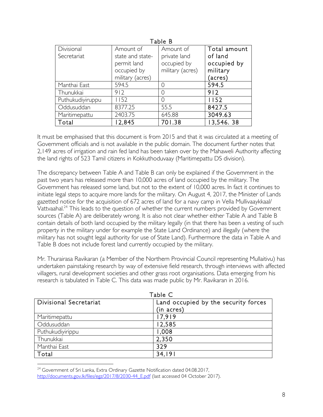| гарте в          |                  |              |  |  |
|------------------|------------------|--------------|--|--|
| Amount of        | Amount of        | Total amount |  |  |
| state and state- | private land     | of land      |  |  |
| permit land      | occupied by      | occupied by  |  |  |
| occupied by      | military (acres) | military     |  |  |
| military (acres) |                  | (acres)      |  |  |
| 594.5            |                  | 594.5        |  |  |
| 912              |                  | 912          |  |  |
| 1152             | 0                | 1152         |  |  |
| 8377.25          | 55.5             | 8427.5       |  |  |
| 2403.75          | 645.88           | 3049.63      |  |  |
| 12,845           | 701.38           | 13,546.38    |  |  |
|                  |                  |              |  |  |

Table B

It must be emphasised that this document is from 2015 and that it was circulated at a meeting of Government officials and is not available in the public domain. The document further notes that 2,149 acres of irrigation and rain fed land has been taken over by the Mahaweli Authority affecting the land rights of 523 Tamil citizens in Kokkuthoduvaay (Maritimepattu DS division).

The discrepancy between Table A and Table B can only be explained if the Government in the past two years has released more than 10,000 acres of land occupied by the military. The Government has released some land, but not to the extent of 10,000 acres. In fact it continues to initiate legal steps to acquire more lands for the military. On August 4, 2017, the Minister of Lands gazetted notice for the acquisition of 672 acres of land for a navy camp in Vella Mullivaaykkaal/ Vattvaahal.<sup>24</sup> This leads to the question of whether the current numbers provided by Government sources (Table A) are deliberately wrong. It is also not clear whether either Table A and Table B contain details of both land occupied by the military legally (in that there has been a vesting of such property in the military under for example the State Land Ordinance) and illegally (where the military has not sought legal authority for use of State Land). Furthermore the data in Table A and Table B does not include forest land currently occupied by the military.

Mr. Thurairasa Ravikaran (a Member of the Northern Provincial Council representing Mullaitivu) has undertaken painstaking research by way of extensive field research, through interviews with affected villagers, rural development societies and other grass root organisations. Data emerging from his research is tabulated in Table C. This data was made public by Mr. Ravikaran in 2016.

| Table C                |                                      |  |
|------------------------|--------------------------------------|--|
| Divisional Secretariat | Land occupied by the security forces |  |
|                        | (in acres)                           |  |
| Maritimepattu          | 17,919                               |  |
| Oddusuddan             | 12,585                               |  |
| Puthukudiyirippu       | 1,008                                |  |
| Thunukkai              | 2,350                                |  |
| Manthai East           | 329                                  |  |
| Total                  | 34.191                               |  |

<sup>&</sup>lt;sup>24</sup> Government of Sri Lanka, Extra Ordinary Gazette Notification dated 04.08.2017, http://documents.gov.lk/files/egz/2017/8/2030-44\_E.pdf (last accessed 04 October 2017).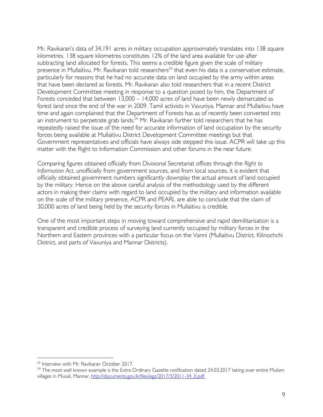Mr. Ravikaran's data of 34,191 acres in military occupation approximately translates into 138 square kilometres. 138 square kilometres constitutes 12% of the land area available for use after subtracting land allocated for forests. This seems a credible figure given the scale of military presence in Mullaitivu. Mr. Ravikaran told researchers<sup>25</sup> that even his data is a conservative estimate, particularly for reasons that he had no accurate data on land occupied by the army within areas that have been declared as forests. Mr. Ravikaran also told researchers that in a recent District Development Committee meeting in response to a question posed by him, the Department of Forests conceded that between 13,000 – 14,000 acres of land have been newly demarcated as forest land since the end of the war in 2009. Tamil activists in Vavuniya, Mannar and Mullaitivu have time and again complained that the Department of Forests has as of recently been converted into an instrument to perpetrate grab lands.<sup>26</sup> Mr. Ravikaran further told researchers that he has repeatedly raised the issue of the need for accurate information of land occupation by the security forces being available at Mullaitivu District Development Committee meetings but that Government representatives and officials have always side stepped this issue. ACPR will take up this matter with the Right to Information Commission and other forums in the near future.

Comparing figures obtained officially from Divisional Secretariat offices through the *Right to Information Act*, unofficially from government sources, and from local sources, it is evident that officially obtained government numbers significantly downplay the actual amount of land occupied by the military. Hence on the above careful analysis of the methodology used by the different actors in making their claims with regard to land occupied by the military and information available on the scale of the military presence, ACPR and PEARL are able to conclude that the claim of 30,000 acres of land being held by the security forces in Mullaitivu is credible.

One of the most important steps in moving toward comprehensive and rapid demilitarisation is a transparent and credible process of surveying land currently occupied by military forces in the Northern and Eastern provinces with a particular focus on the Vanni (Mullaitivu District, Kilinochchi District, and parts of Vavuniya and Mannar Districts).

<sup>&</sup>lt;sup>25</sup> Interview with Mr. Ravikaran October 2017.

 $26$  The most well known example is the Extra Ordinary Gazette notification dated 24.03.2017 taking over entire Mulism villages in Musali, Mannar. http://documents.gov.lk/files/egz/2017/3/2011-34\_E.pdf.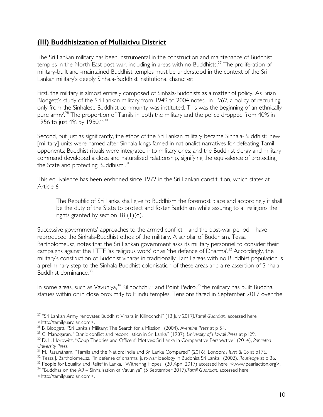# **(III) Buddhisization of Mullaitivu District**

The Sri Lankan military has been instrumental in the construction and maintenance of Buddhist temples in the North-East post-war, including in areas with no Buddhists.<sup>27</sup> The proliferation of military-built and -maintained Buddhist temples must be understood in the context of the Sri Lankan military's deeply Sinhala-Buddhist institutional character.

First, the military is almost entirely composed of Sinhala-Buddhists as a matter of policy. As Brian Blodgett's study of the Sri Lankan military from 1949 to 2004 notes, 'in 1962, a policy of recruiting only from the Sinhalese Buddhist community was instituted. This was the beginning of an ethnically pure army'.<sup>28</sup> The proportion of Tamils in both the military and the police dropped from 40% in 1956 to just 4% by 1980.29,30

Second, but just as significantly, the ethos of the Sri Lankan military became Sinhala-Buddhist: 'new [military] units were named after Sinhala kings famed in nationalist narratives for defeating Tamil opponents; Buddhist rituals were integrated into military ones; and the Buddhist clergy and military command developed a close and naturalised relationship, signifying the equivalence of protecting the State and protecting Buddhism'.<sup>31</sup>

This equivalence has been enshrined since 1972 in the Sri Lankan constitution, which states at Article 6:

The Republic of Sri Lanka shall give to Buddhism the foremost place and accordingly it shall be the duty of the State to protect and foster Buddhism while assuring to all religions the rights granted by section 18 (1)(d).

Successive governments' approaches to the armed conflict—and the post-war period—have reproduced the Sinhala-Buddhist ethos of the military. A scholar of Buddhism, Tessa Bartholomeusz, notes that the Sri Lankan government asks its military personnel to consider their campaigns against the LTTE 'as religious work' or as 'the defence of Dharma'.<sup>32</sup> Accordingly, the military's construction of Buddhist viharas in traditionally Tamil areas with no Buddhist population is a preliminary step to the Sinhala-Buddhist colonisation of these areas and a re-assertion of Sinhala-Buddhist dominance.<sup>33</sup>

In some areas, such as Vavuniya,<sup>34</sup> Kilinochchi,<sup>35</sup> and Point Pedro,<sup>36</sup> the military has built Buddha statues within or in close proximity to Hindu temples. Tensions flared in September 2017 over the

 <sup>27</sup> "Sri Lankan Army renovates Buddhist Vihara in Kilinochchi" (13 July 2017*),Tamil Guardian*, accessed here:

<sup>&</sup>lt;http://tamilguardian.com>.<br><sup>28</sup> B. Blodgett, ''Sri Lanka's Military: The Search for a Mission'' (2004), Aventine Press at p 54.

<sup>&</sup>lt;sup>29</sup> C. Manogaran, "Ethnic conflict and reconciliation in Sri Lanka" (1987), *University of Hawaii Press* at p129.

<sup>30</sup> D. L. Horowitz, "Coup Theories and Officers' Motives: Sri Lanka in Comparative Perspective*"* (2014), *Princeton University Press.*

<sup>31</sup> M. Rasaratnam, "Tamils and the Nation: India and Sri Lanka Compared" (2016), London: *Hurst & Co* at p176.

<sup>32</sup> Tessa J. Bartholomeusz, "In defense of dharma: just-war ideology in Buddhist Sri Lanka" (2002), *Routledge* at p 36.

<sup>&</sup>lt;sup>33</sup> People for Equality and Relief in Lanka, "Withering Hopes" (20 April 2017) accessed here: <www.pearlaction.org>.

<sup>34</sup> "Buddhas on the A9 – Sinhalisation of Vavuniya" (5 September 2017),*Tamil Guardian*, accessed here: <http://tamilguardian.com>.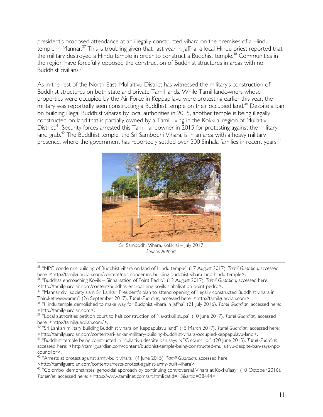president's proposed attendance at an illegally constructed vihara on the premises of a Hindu temple in Mannar.<sup>37</sup> This is troubling given that, last year in Jaffna, a local Hindu priest reported that the military destroyed a Hindu temple in order to construct a Buddhist temple.<sup>38</sup> Communities in the region have forcefully opposed the construction of Buddhist structures in areas with no Buddhist civilians. 39

As in the rest of the North-East, Mullaitivu District has witnessed the military's construction of Buddhist structures on both state and private Tamil lands. While Tamil landowners whose properties were occupied by the Air Force in Keppapilavu were protesting earlier this year, the military was reportedly seen constructing a Buddhist temple on their occupied land.<sup>40</sup> Despite a ban on building illegal Buddhist viharas by local authorities in 2015, another temple is being illegally constructed on land that is partially owned by a Tamil living in the Kokkilai region of Mullaitivu District.<sup>41</sup> Security forces arrested this Tamil landowner in 2015 for protesting against the military land grab.<sup>42</sup> The Buddhist temple, the Sri Sambodhi Vihara, is in an area with a heavy military presence, where the government has reportedly settled over 300 Sinhala families in recent years.<sup>43</sup>



Sri Sambodhi Vihara, Kokkilai – July 2017 *Source: Authors* 

 35 "NPC condemns building of Buddhist vihara on land of Hindu temple" (17 August 2017), *Tamil Guardian*, accessed here: <http://tamilguardian.com/content/npc-condemns-building-buddhist-vihara-land-hindu-temple>.

- <sup>36</sup> "Buddhas encroaching Kovils Sinhalisation of Point Pedro" (12 August 2017), *Tamil Guardian*, accessed here: <http://tamilguardian.com/content/buddhas-encroaching-kovils-sinhalisation-point-pedro>.
- <sup>37</sup> "Mannar civil society slam Sri Lankan President's plan to attend opening of illegally constructed Buddhist vihara in Thiruketheeswaram" (26 September 2017), *Tamil Guardian,* accessed here: <http://tamilguardian.com>.

<sup>39</sup> "Local authorities petition court to halt construction of Navatkuli stupa" (10 June 2017), *Tamil Guardian,* accessed here: <http://tamilguardian.com/>.

<sup>40</sup> "Sri Lankan military building Buddhist vihara on Keppapulavu land" (15 March 2017), *Tamil Guardian*, accessed here: <http://tamilguardian.com/content/sri-lankan-military-building-buddhist-vihara-occupied-keppapulavu-land>.

<sup>41</sup> "Buddhist temple being constructed in Mullaitivu despite ban says NPC councillor" (20 June 2015), *Tamil Guardian*, accessed here: <http://tamilguardian.com/content/buddhist-temple-being-constructed-mullaitivu-despite-ban-says-npccouncillor>.

<sup>42</sup> "Arrests at protest against army-built vihara" (4 June 2015), *Tamil Guardian*, accessed here:

<http://tamilguardian.com/content/arrests-protest-against-army-built-vihara>.

<sup>43</sup> "Colombo 'demonstrates' genocidal approach by continuing controversial Vihara at Kokku'laay" (10 October 2016), *TamilNet*, accessed here: <https://www.tamilnet.com/art.html?catid=13&artid=38444>.

<sup>38</sup> "Hindu temple demolished to make way for Buddhist vihara in Jaffna" (21 July 2016), *Tamil Guardian*, accessed here: <http://tamilguardian.com>.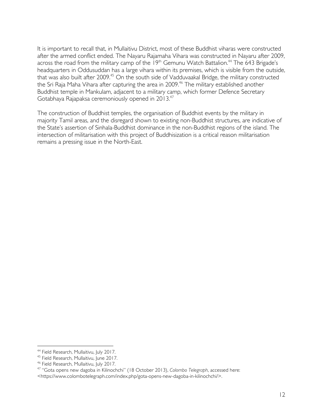It is important to recall that, in Mullaitivu District, most of these Buddhist viharas were constructed after the armed conflict ended. The Nayaru Rajamaha Vihara was constructed in Nayaru after 2009, across the road from the military camp of the  $19<sup>th</sup>$  Gemunu Watch Battalion.<sup>44</sup> The 643 Brigade's headquarters in Oddusuddan has a large vihara within its premises, which is visible from the outside, that was also built after 2009.<sup>45</sup> On the south side of Vadduvaakal Bridge, the military constructed the Sri Raja Maha Vihara after capturing the area in 2009.<sup>46</sup> The military established another Buddhist temple in Mankulam, adjacent to a military camp, which former Defence Secretary Gotabhaya Rajapaksa ceremoniously opened in 2013. 47

The construction of Buddhist temples, the organisation of Buddhist events by the military in majority Tamil areas, and the disregard shown to existing non-Buddhist structures, are indicative of the State's assertion of Sinhala-Buddhist dominance in the non-Buddhist regions of the island. The intersection of militarisation with this project of Buddhisization is a critical reason militarisation remains a pressing issue in the North-East.

<sup>&</sup>lt;sup>44</sup> Field Research, Mullaitivu, July 2017.<br><sup>45</sup> Field Research, Mullaitivu, June 2017.<br><sup>46</sup> Field Research, Mullaitivu, July 2017.

<sup>47</sup> "Gota opens new dagoba in Kilinochchi" (18 October 2013), *Colombo Telegraph*, accessed here: <https://www.colombotelegraph.com/index.php/gota-opens-new-dagoba-in-kilinochchi/>.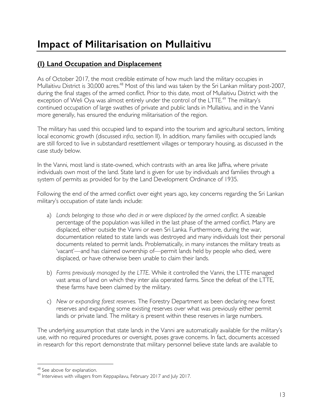# **Impact of Militarisation on Mullaitivu**

# **(I) Land Occupation and Displacement**

As of October 2017, the most credible estimate of how much land the military occupies in Mullaitivu District is 30,000 acres.<sup>48</sup> Most of this land was taken by the Sri Lankan military post-2007, during the final stages of the armed conflict. Prior to this date, most of Mullaitivu District with the exception of Weli Oya was almost entirely under the control of the LTTE.<sup>49</sup> The military's continued occupation of large swathes of private and public lands in Mullaitivu, and in the Vanni more generally, has ensured the enduring militarisation of the region.

The military has used this occupied land to expand into the tourism and agricultural sectors, limiting local economic growth (discussed *infra*, section II). In addition, many families with occupied lands are still forced to live in substandard resettlement villages or temporary housing, as discussed in the case study below.

In the Vanni, most land is state-owned, which contrasts with an area like Jaffna, where private individuals own most of the land. State land is given for use by individuals and families through a system of permits as provided for by the Land Development Ordinance of 1935.

Following the end of the armed conflict over eight years ago, key concerns regarding the Sri Lankan military's occupation of state lands include:

- a) *Lands belonging to those who died in or were displaced by the armed conflict.* A sizeable percentage of the population was killed in the last phase of the armed conflict. Many are displaced, either outside the Vanni or even Sri Lanka. Furthermore, during the war, documentation related to state lands was destroyed and many individuals lost their personal documents related to permit lands. Problematically, in many instances the military treats as 'vacant'—and has claimed ownership of—permit lands held by people who died, were displaced, or have otherwise been unable to claim their lands.
- b) *Farms previously managed by the LTTE.* While it controlled the Vanni, the LTTE managed vast areas of land on which they inter alia operated farms. Since the defeat of the LTTE, these farms have been claimed by the military.
- c) *New or expanding forest reserves.* The Forestry Department as been declaring new forest reserves and expanding some existing reserves over what was previously either permit lands or private land. The military is present within these reserves in large numbers.

The underlying assumption that state lands in the Vanni are automatically available for the military's use, with no required procedures or oversight, poses grave concerns. In fact, documents accessed in research for this report demonstrate that military personnel believe state lands are available to

 $48$  See above for explanation.<br> $49$  Interviews with villagers from Keppapilavu, February 2017 and July 2017.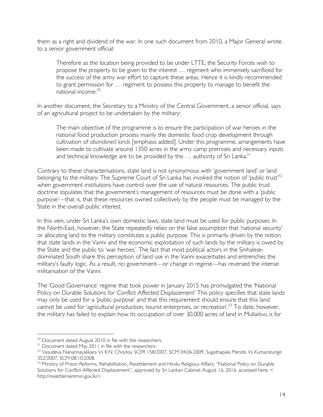them as a right and dividend of the war. In one such document from 2010, a Major General wrote to a senior government official:

Therefore as the location being provided to be under LTTE, the Security Forces wish to propose the property to be given to the interest … regiment who immensely sacrificed for the success of the army war effort to capture these areas. Hence it is kindly recommended to grant permission for … regiment to possess this property to manage to benefit the national income. 50

In another document, the Secretary to a Ministry of the Central Government, a senior official, says of an agricultural project to be undertaken by the military:

The main objective of the programme is to ensure the participation of war heroes in the national food production process mainly the domestic food crop development through cultivation of *abandoned lands* [emphasis added]. Under this programme, arrangements have been made to cultivate around 1350 acres in the army camp premises and necessary inputs and technical knowledge are to be provided by the  $\ldots$  authority of Sri Lanka.<sup>51</sup>

Contrary to these characterisations, state land is not synonymous with 'government land' or land belonging to the military. The Supreme Court of Sri Lanka has invoked the notion of 'public trust'<sup>52</sup> when government institutions have control over the use of natural resources. The public trust doctrine stipulates that the government's management of resources must be done with a 'public purpose'—that is, that these resources owned collectively by the people must be managed by the State in the overall public interest.

In this vein, under Sri Lanka's own domestic laws, state land must be used for public purposes. In the North-East, however, the State repeatedly relies on the false assumption that 'national security' or allocating land to the military constitutes a public purpose. This is primarily driven by the notion that state lands in the Vanni and the economic exploitation of such lands by the military is owed by the State and the public to 'war heroes'. The fact that most political actors in the Sinhalesedominated South share this perception of land use in the Vanni exacerbates and entrenches the military's faulty logic. As a result, no government—or change in regime—has reversed the intense militarisation of the Vanni.

The 'Good Governance' regime that took power in January 2015 has promulgated the 'National Policy on Durable Solutions for Conflict Affected Displacement' This policy specifies that state lands may only be used for a 'public purpose' and that this requirement should ensure that this land cannot be used for 'agricultural production, tourist enterprises, or recreation'.<sup>53</sup> To date, however, the military has failed to explain how its occupation of over 30,000 acres of land in Mullaitivu is for

<sup>&</sup>lt;sup>50</sup> Document dated August 2010 in file with the researchers.

<sup>&</sup>lt;sup>51</sup> Document dated May 2011 in file with the researchers.

<sup>&</sup>lt;sup>52</sup> Vasudeva Nanannayakkara Vs K.N. Chocksy SCFR 158/2007, SCM 04.06.2009, Sugathapala Mendis Vs Kumaratunge 352/2007, SCM 08.10.2008.

<sup>53</sup> Ministry of Prison Reforms, Rehabilitation, Resettlement and Hindu Religious Affairs, "National Policy on Durable Solutions for Conflict-Affected Displacement", approved by Sri Lankan Cabinet August 16, 2016, accessed here: < http://resettlementmin.gov.lk/>.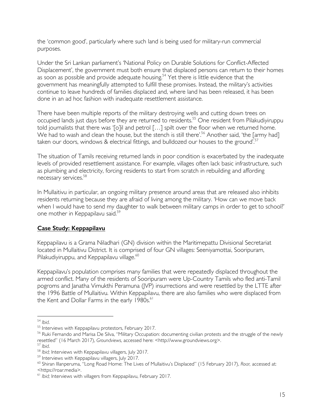the 'common good', particularly where such land is being used for military-run commercial purposes.

Under the Sri Lankan parliament's 'National Policy on Durable Solutions for Conflict-Affected Displacement', the government must both ensure that displaced persons can return to their homes as soon as possible and provide adequate housing.<sup>54</sup> Yet there is little evidence that the government has meaningfully attempted to fulfill these promises. Instead, the military's activities continue to leave hundreds of families displaced and, where land has been released, it has been done in an ad hoc fashion with inadequate resettlement assistance.

There have been multiple reports of the military destroying wells and cutting down trees on occupied lands just days before they are returned to residents.<sup>55</sup> One resident from Pilakudiyiruppu told journalists that there was '[o]il and petrol [...] spilt over the floor when we returned home. We had to wash and clean the house, but the stench is still there'.<sup>56</sup> Another said, 'the [army had] taken our doors, windows & electrical fittings, and bulldozed our houses to the ground'.<sup>57</sup>

The situation of Tamils receiving returned lands in poor condition is exacerbated by the inadequate levels of provided resettlement assistance. For example, villages often lack basic infrastructure, such as plumbing and electricity, forcing residents to start from scratch in rebuilding and affording necessary services. 58

In Mullaitivu in particular, an ongoing military presence around areas that are released also inhibits residents returning because they are afraid of living among the military. 'How can we move back when I would have to send my daughter to walk between military camps in order to get to school?' one mother in Keppapilavu said. 59

#### **Case Study: Keppapilavu**

Keppapilavu is a Grama Niladhari (GN) division within the Maritimepattu Divisional Secretariat located in Mullaitivu District. It is comprised of four GN villages: Seeniyamottai, Sooripuram, Pilakudiyiruppu, and Keppapilavu village.<sup>60</sup>

Keppapilavu's population comprises many families that were repeatedly displaced throughout the armed conflict. Many of the residents of Sooripuram were Up-Country Tamils who fled anti-Tamil pogroms and Janatha Vimukthi Peramuna (JVP) insurrections and were resettled by the LTTE after the 1996 Battle of Mullaitivu. Within Keppapilavu, there are also families who were displaced from the Kent and Dollar Farms in the early 1980s.<sup>61</sup>

<sup>&</sup>lt;sup>54</sup> *Ibid.*<br><sup>55</sup> Interviews with Keppapilavu protestors, February 2017.<br><sup>56</sup> Ruki Fernando and Marisa De Silva, ''Military Occupation: documenting civilian protests and the struggle of the newly resettled" (16 March 2017), *Groundviews*, accessed here: <http://www.groundviews.org>.<br>
<sup>57</sup> Ibid.<br>
<sup>58</sup> Ibid; Interviews with Keppapilavu villagers, July 2017.<br>
<sup>59</sup> Interviews with Keppapilavu villagers, Iuly 2017.

<sup>60</sup> Shiran Illanperuma, "Long Road Home: The Lives of Mullaitivu's Displaced" (15 February 2017), *Roar,* accessed at: <https://roar.media>.

<sup>61</sup> *Ibid;* Interviews with villagers from Keppapilavu, February 2017.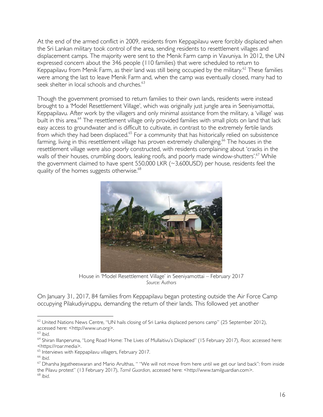At the end of the armed conflict in 2009, residents from Keppapilavu were forcibly displaced when the Sri Lankan military took control of the area, sending residents to resettlement villages and displacement camps. The majority were sent to the Menik Farm camp in Vavuniya. In 2012, the UN expressed concern about the 346 people (110 families) that were scheduled to return to Keppapilavu from Menik Farm, as their land was still being occupied by the military.<sup>62</sup> These families were among the last to leave Menik Farm and, when the camp was eventually closed, many had to seek shelter in local schools and churches.<sup>63</sup>

Though the government promised to return families to their own lands, residents were instead brought to a 'Model Resettlement Village', which was originally just jungle area in Seeniyamottai, Keppapilavu. After work by the villagers and only minimal assistance from the military, a 'village' was built in this area.<sup>64</sup> The resettlement village only provided families with small plots on land that lack easy access to groundwater and is difficult to cultivate, in contrast to the extremely fertile lands from which they had been displaced.<sup>65</sup> For a community that has historically relied on subsistence farming, living in this resettlement village has proven extremely challenging.<sup>66</sup> The houses in the resettlement village were also poorly constructed, with residents complaining about 'cracks in the walls of their houses, crumbling doors, leaking roofs, and poorly made window-shutters'.<sup>67</sup> While the government claimed to have spent 550,000 LKR (~3,600USD) per house, residents feel the quality of the homes suggests otherwise.<sup>68</sup>



House in 'Model Resettlement Village' in Seeniyamottai – February 2017 *Source: Authors*

On January 31, 2017, 84 families from Keppapilavu began protesting outside the Air Force Camp occupying Pilakudiyiruppu, demanding the return of their lands. This followed yet another

 $62$  United Nations News Centre, "UN hails closing of Sri Lanka displaced persons camp" (25 September 2012), accessed here: <http://www.un.org>.<br>
<sup>63</sup> Ibid.

<sup>63</sup> *Ibid*. 64 Shiran Illanperuma, "Long Road Home: The Lives of Mullaitivu's Displaced" (15 February 2017), *Roar,* accessed here: <https://roar.media>.

<sup>&</sup>lt;sup>65</sup> Interviews with Keppapilavu villagers, February 2017.

<sup>&</sup>lt;sup>66</sup> *Ibid.*<br><sup>67</sup> Dharsha Jegatheeswaran and Mario Arulthas, '' ''We will not move from here until we get our land back'': from inside the Pilavu protest" (13 February 2017), *Tamil Guardian,* accessed here: <http://www.tamilguardian.com>. 68 *Ibid*.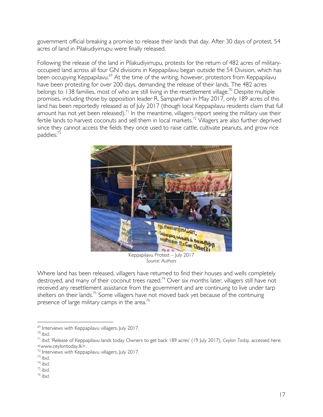government official breaking a promise to release their lands that day. After 30 days of protest, 54 acres of land in Pilakudiyirrupu were finally released.

Following the release of the land in Pilakudiyirrupu, protests for the return of 482 acres of militaryoccupied land across all four GN divisions in Keppapilavu began outside the 54 Division, which has been occupying Keppapilavu.<sup>69</sup> At the time of the writing, however, protestors from Keppapilavu have been protesting for over 200 days, demanding the release of their lands. The 482 acres belongs to 138 families, most of who are still living in the resettlement village.<sup>70</sup> Despite multiple promises, including those by opposition leader R. Sampanthan in May 2017, only 189 acres of this land has been reportedly released as of July 2017 (though local Keppapilavu residents claim that full amount has not yet been released).<sup>71</sup> In the meantime, villagers report seeing the military use their fertile lands to harvest coconuts and sell them in local markets.72 Villagers are also further deprived since they cannot access the fields they once used to raise cattle, cultivate peanuts, and grow rice paddies.73



*Source: Authors*

Where land has been released, villagers have returned to find their houses and wells completely destroyed, and many of their coconut trees razed.<sup>74</sup> Over six months later, villagers still have not received any resettlement assistance from the government and are continuing to live under tarp shelters on their lands.<sup>75</sup> Some villagers have not moved back yet because of the continuing presence of large military camps in the area.<sup>76</sup>

<sup>69</sup> Interviews with Keppapilavu villagers, July 2017. 70 *Ibid*.

<sup>71</sup> *Ibid*; 'Release of Keppapilavu lands today Owners to get back 189 acres' (19 July 2017), *Ceylon Today,* accessed here:

<sup>&</sup>lt;www.ceylontoday.lk>. 72 Interviews with Keppapilavu villagers, July 2017. 73 *Ibid*.

<sup>74</sup> *Ibid*. 75 *Ibid*. 76 *Ibid*.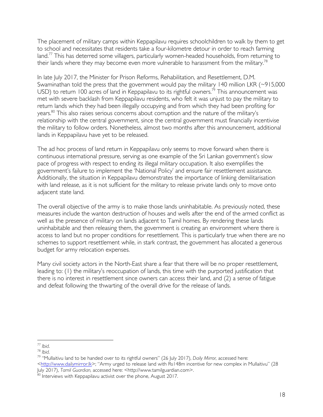The placement of military camps within Keppapilavu requires schoolchildren to walk by them to get to school and necessitates that residents take a four-kilometre detour in order to reach farming land. $^{77}$  This has deterred some villagers, particularly women-headed households, from returning to their lands where they may become even more vulnerable to harassment from the military.<sup>78</sup>

In late July 2017, the Minister for Prison Reforms, Rehabilitation, and Resettlement, D.M. Swaminathan told the press that the government would pay the military 140 million LKR  $(\sim)15,000$ USD) to return 100 acres of land in Keppapilavu to its rightful owners.<sup>79</sup> This announcement was met with severe backlash from Keppapilavu residents, who felt it was unjust to pay the military to return lands which they had been illegally occupying and from which they had been profiting for years.<sup>80</sup> This also raises serious concerns about corruption and the nature of the military's relationship with the central government, since the central government must financially incentivise the military to follow orders. Nonetheless, almost two months after this announcement, additional lands in Keppapilavu have yet to be released.

The ad hoc process of land return in Keppapilavu only seems to move forward when there is continuous international pressure, serving as one example of the Sri Lankan government's slow pace of progress with respect to ending its illegal military occupation. It also exemplifies the government's failure to implement the 'National Policy' and ensure fair resettlement assistance. Additionally, the situation in Keppapilavu demonstrates the importance of linking demilitarisation with land release, as it is not sufficient for the military to release private lands only to move onto adjacent state land.

The overall objective of the army is to make those lands uninhabitable. As previously noted, these measures include the wanton destruction of houses and wells after the end of the armed conflict as well as the presence of military on lands adjacent to Tamil homes. By rendering these lands uninhabitable and then releasing them, the government is creating an environment where there is access to land but no proper conditions for resettlement. This is particularly true when there are no schemes to support resettlement while, in stark contrast, the government has allocated a generous budget for army relocation expenses.

Many civil society actors in the North-East share a fear that there will be no proper resettlement, leading to: (1) the military's reoccupation of lands, this time with the purported justification that there is no interest in resettlement since owners can access their land, and (2) a sense of fatigue and defeat following the thwarting of the overall drive for the release of lands.

<sup>77</sup> *Ibid*. 78 *Ibid*. 79 "Mullaitivu land to be handed over to its rightful owners" (26 July 2017), *Daily Mirror,* accessed here:

<sup>&</sup>lt;http://www.dailymirror.lk>; "Army urged to release land with Rs148m incentive for new complex in Mullaitivu" (28 |uly 2017), Tamil Guardian, accessed here: <http://www.tamilguardian.com>.

 $80$  Interviews with Keppapilavu activist over the phone, August 2017.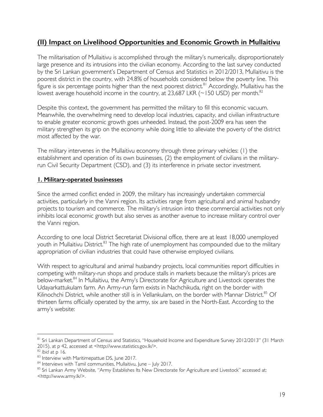# **(II) Impact on Livelihood Opportunities and Economic Growth in Mullaitivu**

The militarisation of Mullaitivu is accomplished through the military's numerically, disproportionately large presence and its intrusions into the civilian economy. According to the last survey conducted by the Sri Lankan government's Department of Census and Statistics in 2012/2013, Mullaitivu is the poorest district in the country, with 24.8% of households considered below the poverty line. This figure is six percentage points higher than the next poorest district.<sup>81</sup> Accordingly, Mullaitivu has the lowest average household income in the country, at 23,687 LKR ( $\sim$ 150 USD) per month.<sup>82</sup>

Despite this context, the government has permitted the military to fill this economic vacuum. Meanwhile, the overwhelming need to develop local industries, capacity, and civilian infrastructure to enable greater economic growth goes unheeded. Instead, the post-2009 era has seen the military strengthen its grip on the economy while doing little to alleviate the poverty of the district most affected by the war.

The military intervenes in the Mullaitivu economy through three primary vehicles: (1) the establishment and operation of its own businesses, (2) the employment of civilians in the militaryrun Civil Security Department (CSD), and (3) its interference in private sector investment.

#### **1. Military-operated businesses**

Since the armed conflict ended in 2009, the military has increasingly undertaken commercial activities, particularly in the Vanni region. Its activities range from agricultural and animal husbandry projects to tourism and commerce. The military's intrusion into these commercial activities not only inhibits local economic growth but also serves as another avenue to increase military control over the Vanni region.

According to one local District Secretariat Divisional office, there are at least 18,000 unemployed youth in Mullaitivu District.<sup>83</sup> The high rate of unemployment has compounded due to the military appropriation of civilian industries that could have otherwise employed civilians.

With respect to agricultural and animal husbandry projects, local communities report difficulties in competing with military-run shops and produce stalls in markets because the military's prices are below-market.<sup>84</sup> In Mullaitivu, the Army's Directorate for Agriculture and Livestock operates the Udayarkattukulam farm. An Army-run farm exists in Nachchikuda, right on the border with Kilinochchi District, while another still is in Vellankulam, on the border with Mannar District.<sup>85</sup> Of thirteen farms officially operated by the army, six are based in the North-East. According to the army's website:

<sup>81</sup> Sri Lankan Department of Census and Statistics, "Household Income and Expenditure Survey 2012/2013" (31 March 2015), at p 42, accessed at <http://www.statistics.gov.lk/>.

<sup>&</sup>lt;sup>82</sup> Ibid at p 16.<br><sup>83</sup> Interview with Maritimepattue DS, June 2017.<br><sup>84</sup> Interviews with Tamil communities, Mullaitivu, June – July 2017.<br><sup>85</sup> Sri Lankan Army Website, ''Army Establishes Its New Directorate for Agricultu <http://www.army.lk/>.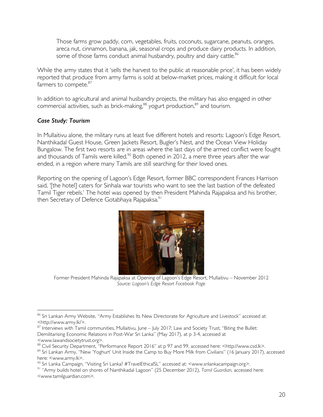Those farms grow paddy, corn, vegetables, fruits, coconuts, sugarcane, peanuts, oranges, areca nut, cinnamon, banana, jak, seasonal crops and produce dairy products. In addition, some of those farms conduct animal husbandry, poultry and dairy cattle.<sup>86</sup>

While the army states that it 'sells the harvest to the public at reasonable price', it has been widely reported that produce from army farms is sold at below-market prices, making it difficult for local farmers to compete.<sup>87</sup>

In addition to agricultural and animal husbandry projects, the military has also engaged in other commercial activities, such as brick-making,<sup>88</sup> yogurt production,<sup>89</sup> and tourism.

## *Case Study: Tourism*

In Mullaitivu alone, the military runs at least five different hotels and resorts: Lagoon's Edge Resort, Nanthikadal Guest House, Green Jackets Resort, Bugler's Nest, and the Ocean View Holiday Bungalow. The first two resorts are in areas where the last days of the armed conflict were fought and thousands of Tamils were killed.<sup>90</sup> Both opened in 2012, a mere three years after the war ended, in a region where many Tamils are still searching for their loved ones.

Reporting on the opening of Lagoon's Edge Resort, former BBC correspondent Frances Harrison said, '[the hotel] caters for Sinhala war tourists who want to see the last bastion of the defeated Tamil Tiger rebels.' The hotel was opened by then President Mahinda Rajapaksa and his brother, then Secretary of Defence Gotabhaya Rajapaksa.<sup>91</sup>



Former President Mahinda Rajapaksa at Opening of Lagoon's Edge Resort, Mullaitivu – November 2012 *Source: Lagoon's Edge Resort Facebook Page*

<sup>86</sup> Sri Lankan Army Website, "Army Establishes Its New Directorate for Agriculture and Livestock" accessed at: <http://www.army.lk/>.

<sup>87</sup> Interviews with Tamil communities, Mullaitivu, June - July 2017; Law and Society Trust, "Biting the Bullet: Demilitarising Economic Relations in Post-War Sri Lanka" (May 2017), at p 3-4, accessed at <www.lawandsocietytrust.org>.

<sup>&</sup>lt;sup>88</sup> Civil Security Department, "Performance Report 2016" at p 97 and 99, accessed here: <http://www.csd.lk>.<br><sup>89</sup> Sri Lankan Army, "New 'Yoghurt' Unit Inside the Camp to Buy More Milk from Civilians" (16 January 2017), ac here: <www.army.lk>.

<sup>90</sup> Sri Lanka Campaign, "Visiting Sri Lanka? #TravelEthicalSL" accessed at: <www.srilankacampaign.org>.

<sup>91</sup> "Army builds hotel on shores of Nanthikadal Lagoon" (25 December 2012), *Tamil Guardian,* accessed here: <www.tamilguardian.com>.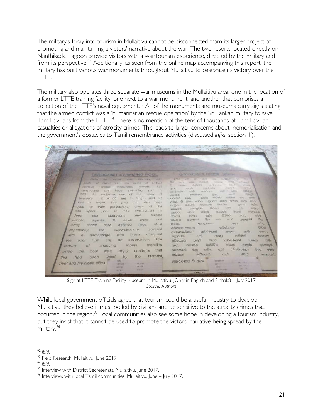The military's foray into tourism in Mullaitivu cannot be disconnected from its larger project of promoting and maintaining a victors' narrative about the war. The two resorts located directly on Nanthikadal Lagoon provide visitors with a war tourism experience, directed by the military and from its perspective.<sup>92</sup> Additionally, as seen from the online map accompanying this report, the military has built various war monuments throughout Mullaitivu to celebrate its victory over the LTTE.

The military also operates three separate war museums in the Mullaitivu area, one in the location of a former LTTE training facility, one next to a war monument, and another that comprises a collection of the LTTE's naval equipment.<sup>93</sup> All of the monuments and museums carry signs stating that the armed conflict was a 'humanitarian rescue operation' by the Sri Lankan military to save Tamil civilians from the LTTE.<sup>94</sup> There is no mention of the tens of thousands of Tamil civilian casualties or allegations of atrocity crimes. This leads to larger concerns about memorialisation and the government's obstacles to Tamil remembrance activities (discussed *infra*, section III).

| TERRORIST SWIMMING POOL _______ get citerad Being mondo                                                                                                                                                                                                                                                                                                                                                                                                                                                                                                                                                                                                                                                                                                                                                                                                                                                                                                                                                                                                                                                                                                                                                                                                     |                                                                                                                                                                                                                                                                                                                                                                                                                                                                                                                                                                                                                                                                                                                                                                                                                                                                                                                                                                                                                                                                                                                                                                                                                                                                                                                                                                                                                                                                                                                                                                                                                                                                                                                                               |
|-------------------------------------------------------------------------------------------------------------------------------------------------------------------------------------------------------------------------------------------------------------------------------------------------------------------------------------------------------------------------------------------------------------------------------------------------------------------------------------------------------------------------------------------------------------------------------------------------------------------------------------------------------------------------------------------------------------------------------------------------------------------------------------------------------------------------------------------------------------------------------------------------------------------------------------------------------------------------------------------------------------------------------------------------------------------------------------------------------------------------------------------------------------------------------------------------------------------------------------------------------------|-----------------------------------------------------------------------------------------------------------------------------------------------------------------------------------------------------------------------------------------------------------------------------------------------------------------------------------------------------------------------------------------------------------------------------------------------------------------------------------------------------------------------------------------------------------------------------------------------------------------------------------------------------------------------------------------------------------------------------------------------------------------------------------------------------------------------------------------------------------------------------------------------------------------------------------------------------------------------------------------------------------------------------------------------------------------------------------------------------------------------------------------------------------------------------------------------------------------------------------------------------------------------------------------------------------------------------------------------------------------------------------------------------------------------------------------------------------------------------------------------------------------------------------------------------------------------------------------------------------------------------------------------------------------------------------------------------------------------------------------------|
| wes awarming with<br><b>Mruho</b><br>the <i>Publish</i><br>the spate of LTTE.s<br><b>DIGOOT</b><br>Welly<br>pools of<br>terrorist<br><b>Fund</b><br>disewitnans.<br><b><i>Internation</i></b><br>crimes<br>77118<br>nuoe<br>swimming<br>pool<br>constructed<br>$\mathbb{R}$<br>2001<br>exclusive.<br>the<br>cream<br>tor<br>DT<br>$-01$<br>use<br>- 22<br>length and<br>83<br>terrorists.<br>feet<br>iry<br>11115<br>been<br>had<br>also<br>Teet<br>depth.<br>The<br>10001<br>107<br>the<br>divers<br><b>of</b><br>professional<br>used<br>to<br>train<br>employment<br>$\frac{1}{2}$<br>prior to their<br>sea<br>tigers.<br>suicide<br>and<br>deep<br>operations<br>sea<br>crafts<br>and<br>SL naval<br>attacks<br>againts<br>Most<br>defence lines.<br>costal. area<br>Army<br>importantly, the superstructure covered<br>mesh obscured<br>camouflage wire<br>with.<br>$a - a$<br>observation. The<br>air<br>from any<br>the<br>pool<br>standing<br>rooms<br>changing<br>. .<br>nature.<br>of<br>confirms that<br>amply<br>area<br>pool<br>the<br>aside<br>terrorist<br>the<br>by<br>been used<br>this<br>had<br>NAVE<br>chief and his close allies.<br>- SEATed<br><b>CERTACTURE</b><br><b>CALIFORN</b><br><b>SHIPTIS</b><br>$II$ Fret<br><b>TREPTER</b> | <b>TEAR</b><br><b>Time</b><br>$-204 - 60$<br>马拉动弹<br><b>BIOSTER</b><br><b>JEWSE</b><br>APRILE.<br><b>Britt</b><br><b>var</b><br><b>Cities</b><br>strenulistic<br><b>diaSSSS</b><br>92.00<br><b>OURS</b><br><b>SUSA</b><br><b>Industrial</b> y<br><b>BICBIC/COCK</b><br><b>Geuss</b><br>ときにてのい<br><b>ISSOURIES</b><br>問切印<br>PERSONAL P<br>eite.<br><b>UNIORCE</b><br>ineniczous Locu<br>1000<br>日当记者<br><b>Furitive</b><br><b>Benc</b><br>common<br>6389<br><b>REGISTER</b><br><b>COOL</b><br>etces.<br>comunity.<br><b>WOOSTERN</b><br>0 <sub>1</sub><br>mem and concept common common<br>concer<br><b>RADICS</b><br>remo. G<br><b>BUDGED</b><br>como<br><b><i><u>index</u></i></b><br><b>IBOHICKS</b><br>cocio cio<br><b>SONGCO</b><br>Boss<br><b>BO</b><br>$\frac{1}{2}$<br>estaco.<br>4800mm/JI61<br><b>mosood</b><br>的目的<br>mouties<br>BIGNIKSHI<br><b>CONTE</b><br>usStep.<br><b>IDE EXX</b><br><b>BISSO</b><br><b>NUMBER</b><br>也说(0)<br><b>BEIG</b><br>meno<br>BLECKE<br>BC.<br>R <sub>CD</sub><br><b>WEIG</b><br>causyan@lish<br><b>CRED</b><br><b>CONTROLS</b><br><b>Brack</b><br>ercen:<br><b>USE</b><br>GEODE MICROSO<br><b>GGSO</b><br><b>Sides</b><br>ගවන්යානා<br>ad men/ganden<br>ආවරණයවීමට ආවරණයක්<br><b>CYLIS</b><br>eyess.<br><b>EDITORIO</b><br>ප්ලාස්ටික් දැල් ගොළා ගනිමින්<br><b><i>EXECUTE</i></b><br>日本<br><b>PEDO STORES</b><br>gene cases<br><b>GCDIE)</b><br><b>Goodrap</b><br><b>DOODS</b><br><b>DeSpite</b><br><b>LITTUES</b><br><b>FOODS</b><br><b>Giosnado</b><br>CFOCO.<br>count<br>ctal<br><b>CLEAGAINS</b><br>නායකයින්<br>$\bigoplus(\mathbb{Z})$<br><b>BLC</b><br>吸电图<br>තටාකය භාවිතයට<br>888<br>ശർ<br>CONCOCIO<br>අනාවරණය වී ඇත.<br><b>Transplitzo</b><br>$m = Wb$<br><b>HARMER</b><br><b>PACIFICATION</b> |
| CAPACITY                                                                                                                                                                                                                                                                                                                                                                                                                                                                                                                                                                                                                                                                                                                                                                                                                                                                                                                                                                                                                                                                                                                                                                                                                                                    |                                                                                                                                                                                                                                                                                                                                                                                                                                                                                                                                                                                                                                                                                                                                                                                                                                                                                                                                                                                                                                                                                                                                                                                                                                                                                                                                                                                                                                                                                                                                                                                                                                                                                                                                               |

Sign at LTTE Training Facility Museum in Mullaitivu (Only in English and Sinhala) – July 2017 *Source: Authors*

While local government officials agree that tourism could be a useful industry to develop in Mullaitivu, they believe it must be led by civilians and be sensitive to the atrocity crimes that occurred in the region.<sup>95</sup> Local communities also see some hope in developing a tourism industry, but they insist that it cannot be used to promote the victors' narrative being spread by the military. 96

<sup>&</sup>lt;sup>92</sup> *Ibid.*<br><sup>93</sup> Field Research, Mullaitivu, June 2017.<br><sup>94</sup> *Ibid.* 95 Interview with District Secreteriats, Mullaitivu, June 2017.<br><sup>96</sup> Interviews with local Tamil communities, Mullaitivu, June – July 2017.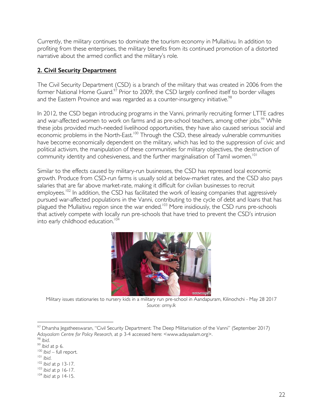Currently, the military continues to dominate the tourism economy in Mullaitivu. In addition to profiting from these enterprises, the military benefits from its continued promotion of a distorted narrative about the armed conflict and the military's role.

#### **2. Civil Security Department**

The Civil Security Department (CSD) is a branch of the military that was created in 2006 from the former National Home Guard.<sup>97</sup> Prior to 2009, the CSD largely confined itself to border villages and the Eastern Province and was regarded as a counter-insurgency initiative.<sup>98</sup>

In 2012, the CSD began introducing programs in the Vanni, primarily recruiting former LTTE cadres and war-affected women to work on farms and as pre-school teachers, among other jobs.<sup>99</sup> While these jobs provided much-needed livelihood opportunities, they have also caused serious social and economic problems in the North-East.<sup>100</sup> Through the CSD, these already vulnerable communities have become economically dependent on the military, which has led to the suppression of civic and political activism, the manipulation of these communities for military objectives, the destruction of community identity and cohesiveness, and the further marginalisation of Tamil women.<sup>101</sup>

Similar to the effects caused by military-run businesses, the CSD has repressed local economic growth. Produce from CSD-run farms is usually sold at below-market rates, and the CSD also pays salaries that are far above market-rate, making it difficult for civilian businesses to recruit employees.<sup>102</sup> In addition, the CSD has facilitated the work of leasing companies that aggressively pursued war-affected populations in the Vanni, contributing to the cycle of debt and loans that has  $\mu$  plagued the Mullaitivu region since the war ended.<sup>103</sup> More insidiously, the CSD runs pre-schools that actively compete with locally run pre-schools that have tried to prevent the CSD's intrusion into early childhood education. 104



Military issues stationaries to nursery kids in a military run pre-school in Aandapuram, Kilinochchi - May 28 2017 *Source: army.lk* 

<sup>97</sup> Dharsha Jegatheeswaran, "Civil Security Department: The Deep Militarisation of the Vanni" (September 2017) *Adayaalam Centre for Policy Research,* at p 3-4 accessed here: <www.adayaalam.org>.

<sup>98</sup> *Ibid*.

<sup>&</sup>lt;sup>99</sup> *Ibid* at p 6.<br><sup>100</sup> *Ibid* – full report.<br><sup>101</sup> *Ibid*.

<sup>101</sup> *Ibid*. 102 *Ibid* at p 13-17. 103 *Ibid* at p 16-17. 104 *Ibid* at p 14-15.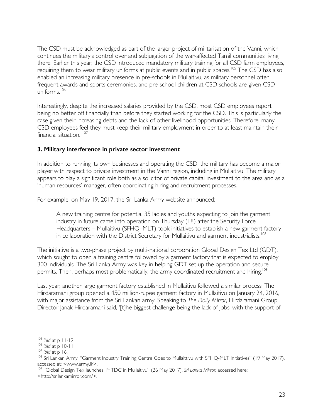The CSD must be acknowledged as part of the larger project of militarisation of the Vanni, which continues the military's control over and subjugation of the war-affected Tamil communities living there. Earlier this year, the CSD introduced mandatory military training for all CSD farm employees, requiring them to wear military uniforms at public events and in public spaces.<sup>105</sup> The CSD has also enabled an increasing military presence in pre-schools in Mullaitivu, as military personnel often frequent awards and sports ceremonies, and pre-school children at CSD schools are given CSD  $uniforms$ <sup>106</sup>

Interestingly, despite the increased salaries provided by the CSD, most CSD employees report being no better off financially than before they started working for the CSD. This is particularly the case given their increasing debts and the lack of other livelihood opportunities. Therefore, many CSD employees feel they must keep their military employment in order to at least maintain their financial situation.<sup>107</sup>

#### **3. Military interference in private sector investment**

In addition to running its own businesses and operating the CSD, the military has become a major player with respect to private investment in the Vanni region, including in Mullaitivu. The military appears to play a significant role both as a solicitor of private capital investment to the area and as a 'human resources' manager, often coordinating hiring and recruitment processes.

For example, on May 19, 2017, the Sri Lanka Army website announced:

A new training centre for potential 35 ladies and youths expecting to join the garment industry in future came into operation on Thursday (18) after the Security Force Headquarters – Mullaitivu (SFHQ–MLT) took initiatives to establish a new garment factory in collaboration with the District Secretary for Mullaitivu and garment industrialists.<sup>108</sup>

The initiative is a two-phase project by multi-national corporation Global Design Tex Ltd (GDT), which sought to open a training centre followed by a garment factory that is expected to employ 300 individuals. The Sri Lanka Army was key in helping GDT set up the operation and secure permits. Then, perhaps most problematically, the army coordinated recruitment and hiring.<sup>109</sup>

Last year, another large garment factory established in Mullaitivu followed a similar process. The Hirdaramani group opened a 450 million-rupee garment factory in Mullaitivu on January 24, 2016, with major assistance from the Sri Lankan army. Speaking to *The Daily Mirror*, Hirdaramani Group Director Janak Hirdaramani said, '[t]he biggest challenge being the lack of jobs, with the support of

<sup>105</sup> *Ibid* at p 11-12.<br><sup>106</sup> *Ibid* at p 10-11.<br><sup>108</sup> *Ibid* at p 16.<br><sup>108</sup> Sri Lankan Army, ''Garment Industry Training Centre Goes to Mullaittivu with SFHQ-MLT Initiatives'' (19 May 2017), accessed at: <www.army.lk>.

<sup>109 &</sup>quot;Global Design Tex launches 1<sup>st</sup> TDC in Mullaitivu" (26 May 2017), Sri Lanka Mirror, accessed here: <http://srilankamirror.com/>.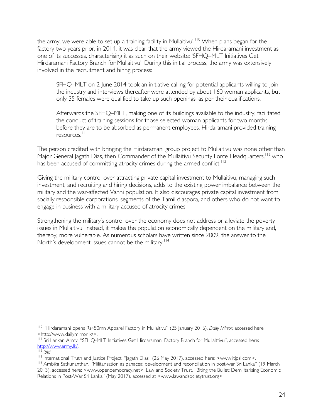the army, we were able to set up a training facility in Mullaitivu'.<sup>110</sup> When plans began for the factory two years prior, in 2014, it was clear that the army viewed the Hirdaramani investment as one of its successes, characterising it as such on their website: 'SFHQ–MLT Initiatives Get Hirdaramani Factory Branch for Mullaitivu'. During this initial process, the army was extensively involved in the recruitment and hiring process:

SFHQ–MLT on 2 June 2014 took an initiative calling for potential applicants willing to join the industry and interviews thereafter were attended by about 160 woman applicants, but only 35 females were qualified to take up such openings, as per their qualifications.

Afterwards the SFHQ–MLT, making one of its buildings available to the industry, facilitated the conduct of training sessions for those selected woman applicants for two months before they are to be absorbed as permanent employees. Hirdaramani provided training resources.<sup>111</sup>

The person credited with bringing the Hirdaramani group project to Mullaitivu was none other than Major General Jagath Dias, then Commander of the Mullaitivu Security Force Headquarters, <sup>112</sup> who has been accused of committing atrocity crimes during the armed conflict.<sup>113</sup>

Giving the military control over attracting private capital investment to Mullaitivu, managing such investment, and recruiting and hiring decisions, adds to the existing power imbalance between the military and the war-affected Vanni population. It also discourages private capital investment from socially responsible corporations, segments of the Tamil diaspora, and others who do not want to engage in business with a military accused of atrocity crimes.

Strengthening the military's control over the economy does not address or alleviate the poverty issues in Mullaitivu. Instead, it makes the population economically dependent on the military and, thereby, more vulnerable. As numerous scholars have written since 2009, the answer to the North's development issues cannot be the military.<sup>114</sup>

 <sup>110</sup> "Hirdaramani opens Rs450mn Apparel Factory in Mullaitivu" (25 January 2016), *Daily Mirror,* accessed here: <http://www.dailymirror.lk/>.

<sup>&</sup>lt;sup>111</sup> Sri Lankan Army, "SFHQ-MLT Initiatives Get Hirdaramani Factory Branch for Mullaittivu", accessed here: http://www.army.lk/.

 $112$  *Ibid.* 

<sup>113</sup> International Truth and Justice Project, "Jagath Dias" (26 May 2017), accessed here: <www.itjpsl.com>.

<sup>114</sup> Ambika Satkunanthan, "Militarisation as panacea: development and reconciliation in post-war Sri Lanka" (19 March 2013), accessed here: <www.opendemocracy.net>; Law and Society Trust, "Biting the Bullet: Demilitarising Economic Relations in Post-War Sri Lanka" (May 2017), accessed at <www.lawandsocietytrust.org>.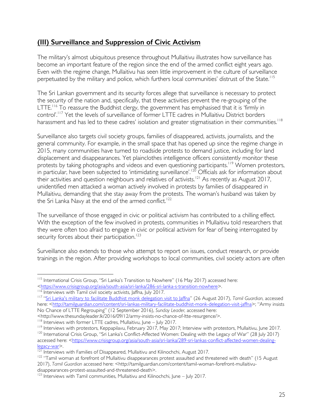# **(III) Surveillance and Suppression of Civic Activism**

The military's almost ubiquitous presence throughout Mullaitivu illustrates how surveillance has become an important feature of the region since the end of the armed conflict eight years ago. Even with the regime change, Mullaitivu has seen little improvement in the culture of surveillance perpetuated by the military and police, which furthers local communities' distrust of the State.<sup>115</sup>

The Sri Lankan government and its security forces allege that surveillance is necessary to protect the security of the nation and, specifically, that these activities prevent the re-grouping of the LTTE.<sup>116</sup> To reassure the Buddhist clergy, the government has emphasised that it is 'firmly in control'.117 Yet the levels of surveillance of former LTTE cadres in Mullaitivu District borders harassment and has led to these cadres' isolation and greater stigmatisation in their communities.<sup>118</sup>

Surveillance also targets civil society groups, families of disappeared, activists, journalists, and the general community. For example, in the small space that has opened up since the regime change in 2015, many communities have turned to roadside protests to demand justice, including for land displacement and disappearances. Yet plainclothes intelligence officers consistently monitor these protests by taking photographs and videos and even questioning participants.<sup>119</sup> Women protestors, in particular, have been subjected to 'intimidating surveillance'.<sup>120</sup> Officials ask for information about their activities and question neighbours and relatives of activists.<sup>121</sup> As recently as August 2017, unidentified men attacked a woman actively involved in protests by families of disappeared in Mullaitivu, demanding that she stay away from the protests. The woman's husband was taken by the Sri Lanka Navy at the end of the armed conflict.<sup>122</sup>

The surveillance of those engaged in civic or political activism has contributed to a chilling effect. With the exception of the few involved in protests, communities in Mullaitivu told researchers that they were often too afraid to engage in civic or political activism for fear of being interrogated by security forces about their participation.<sup>123</sup>

Surveillance also extends to those who attempt to report on issues, conduct research, or provide trainings in the region. After providing workshops to local communities, civil society actors are often

<sup>115</sup> International Crisis Group, "Sri Lanka's Transition to Nowhere" (16 May 2017) accessed here:

<sup>&</sup>lt;https://www.crisisgroup.org/asia/south-asia/sri-lanka/286-sri-lanka-s-transition-nowhere>.

<sup>&</sup>lt;sup>116</sup> Interviews with Tamil civil society activists, Jaffna, July 2017.

<sup>117</sup> "Sri Lanka's military to facilitate Buddhist monk delegation visit to Jaffna" (26 August 2017), *Tamil Guardian,* accessed here: <http://tamilguardian.com/content/sri-lankas-military-facilitate-buddhist-monk-delegation-visit-jaffna>; "Army insists No Chance of LTTE Regrouping" (12 September 2016), *Sunday Leader,* accessed here:

<sup>&</sup>lt;http://www.thesundayleader.lk/2016/09/12/army-insists-no-chance-of-ltte-resurgence/>.

<sup>&</sup>lt;sup>119</sup> Interviews with protestors, Keppapilavu, February 2017, May 2017; Interview with protestors, Mullaitivu, June 2017.<br><sup>120</sup> International Crisis Group, "Sri Lanka's Conflict-Affected Women: Dealing with the Legacy of W accessed here: <https://www.crisisgroup.org/asia/south-asia/sri-lanka/289-sri-lankas-conflict-affected-women-dealinglegacy-war>.

<sup>&</sup>lt;sup>121</sup> Interviews with Families of Disappeared, Mullaitivu and Kilinochchi, August 2017.

<sup>&</sup>lt;sup>122</sup> "Tamil woman at forefront of Mullaitivu disappearances protest assaulted and threatened with death" (15 August 2017), *Tamil Guardian* accessed here: <http://tamilguardian.com/content/tamil-woman-forefront-mullaitivudisappearances-protest-assaulted-and-threatened-death>.

<sup>&</sup>lt;sup>123</sup> Interviews with Tamil communities, Mullaitivu and Kilinochchi, June – July 2017.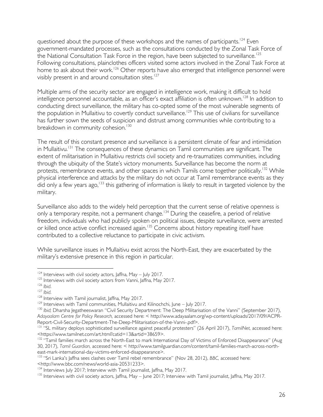questioned about the purpose of these workshops and the names of participants.<sup>124</sup> Even government-mandated processes, such as the consultations conducted by the Zonal Task Force of the National Consultation Task Force in the region, have been subjected to surveillance.<sup>125</sup> Following consultations, plainclothes officers visited some actors involved in the Zonal Task Force at home to ask about their work.126 Other reports have also emerged that intelligence personnel were visibly present in and around consultation sites.<sup>127</sup>

Multiple arms of the security sector are engaged in intelligence work, making it difficult to hold intelligence personnel accountable, as an officer's exact affiliation is often unknown.128 In addition to conducting direct surveillance, the military has co-opted some of the most vulnerable segments of the population in Mullaitivu to covertly conduct surveillance.<sup>129</sup> This use of civilians for surveillance has further sown the seeds of suspicion and distrust among communities while contributing to a breakdown in community cohesion.<sup>130</sup>

The result of this constant presence and surveillance is a persistent climate of fear and intimidation in Mullaitivu.<sup>131</sup> The consequences of these dynamics on Tamil communities are significant. The extent of militarisation in Mullaitivu restricts civil society and re-traumatizes communities, including through the ubiquity of the State's victory monuments. Surveillance has become the norm at protests, remembrance events, and other spaces in which Tamils come together politically.<sup>132</sup> While physical interference and attacks by the military do not occur at Tamil remembrance events as they did only a few years ago,<sup>133</sup> this gathering of information is likely to result in targeted violence by the military.

Surveillance also adds to the widely held perception that the current sense of relative openness is only a temporary respite, not a permanent change.<sup>134</sup> During the ceasefire, a period of relative freedom, individuals who had publicly spoken on political issues, despite surveillance, were arrested or killed once active conflict increased again.<sup>135</sup> Concerns about history repeating itself have contributed to a collective reluctance to participate in civic activism.

While surveillance issues in Mullaitivu exist across the North-East, they are exacerbated by the military's extensive presence in this region in particular.

 $124$  Interviews with civil society actors, Jaffna, May - July 2017.

 $125$  Interviews with civil society actors from Vanni, Jaffna, May 2017.<br> $126$  Ibid.

<sup>127</sup> *Ibid*.<br><sup>128</sup> Interview with Tamil journalist, Jaffna, May 2017.<br><sup>129</sup> Interviews with Tamil communities, Mullaitivu and Kilinochchi, June – July 2017.

<sup>&</sup>lt;sup>130</sup> *Ibid*; Dharsha Jegatheeswaran "Civil Security Department: The Deep Militarisation of the Vanni" (September 2017), *Adayaalam Centre for Policy Research,* accessed here: < http://www.adayaalam.org/wp-content/uploads/2017/09/ACPR-

Report-Civil-Security-Department-The-Deep-Militarisation-of-the-Vanni-.pdf>.<br><sup>131</sup> "SL military deploys sophisticated surveillance against peaceful protesters" (26 April 2017), *TamilNet*, accessed here: <https://www.tamilnet.com/art.html?catid=13&artid=38659>.

<sup>&</sup>lt;sup>132</sup> "Tamil families march across the North-East to mark International Day of Victims of Enforced Disappearance" (Aug 30, 2017), *Tamil Guardian,* accessed here: < http://www.tamilguardian.com/content/tamil-families-march-across-northeast-mark-international-day-victims-enforced-disappearance>.<br><sup>133</sup> "Sri Lanka's Jaffna sees clashes over Tamil rebel remembrance" (Nov 28, 2012), *BBC, accessed here:* 

<sup>&</sup>lt;http://www.bbc.com/news/world-asia-20531233>.

<sup>&</sup>lt;sup>134</sup> Interviews July 2017; Interview with Tamil journalist, Jaffna, May 2017.

<sup>&</sup>lt;sup>135</sup> Interviews with civil society actors, Jaffna, May – June 2017; Interview with Tamil journalist, Jaffna, May 2017.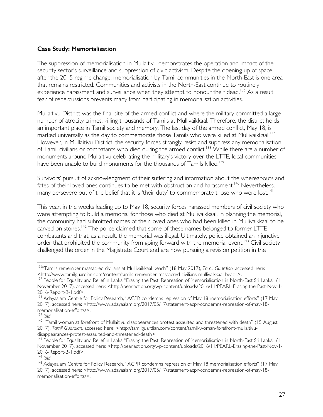#### **Case Study: Memorialisation**

The suppression of memorialisation in Mullaitivu demonstrates the operation and impact of the security sector's surveillance and suppression of civic activism. Despite the opening up of space after the 2015 regime change, memorialisation by Tamil communities in the North-East is one area that remains restricted. Communities and activists in the North-East continue to routinely experience harassment and surveillance when they attempt to honour their dead.<sup>136</sup> As a result, fear of repercussions prevents many from participating in memorialisation activities.

Mullaitivu District was the final site of the armed conflict and where the military committed a large number of atrocity crimes, killing thousands of Tamils at Mullivaikkaal. Therefore, the district holds an important place in Tamil society and memory. The last day of the armed conflict, May 18, is marked universally as the day to commemorate those Tamils who were killed at Mullivaikkaal.<sup>137</sup> However, in Mullaitivu District, the security forces strongly resist and suppress any memorialisation of Tamil civilians or combatants who died during the armed conflict.<sup>138</sup> While there are a number of monuments around Mullaitivu celebrating the military's victory over the LTTE, local communities have been unable to build monuments for the thousands of Tamils killed.<sup>139</sup>

Survivors' pursuit of acknowledgment of their suffering and information about the whereabouts and fates of their loved ones continues to be met with obstruction and harassment.<sup>140</sup> Nevertheless, many persevere out of the belief that it is 'their duty' to commemorate those who were lost.<sup>141</sup>

This year, in the weeks leading up to May 18, security forces harassed members of civil society who were attempting to build a memorial for those who died at Mullivaikkaal. In planning the memorial, the community had submitted names of their loved ones who had been killed in Mullivaikkaal to be carved on stones.<sup>142</sup> The police claimed that some of these names belonged to former LTTE combatants and that, as a result, the memorial was illegal. Ultimately, police obtained an injunctive order that prohibited the community from going forward with the memorial event.<sup>143</sup> Civil society challenged the order in the Magistrate Court and are now pursuing a revision petition in the

 <sup>136&</sup>quot;Tamils remember massacred civilians at Mullivaikkaal beach" (18 May 2017), *Tamil Guardian,* accessed here: <http://www.tamilguardian.com/content/tamils-remember-massacred-civilians-mullivaikkaal-beach>.<br><sup>137</sup> People for Equality and Relief in Lanka "Erasing the Past: Repression of Memorialisation in North-East Sri Lanka" (1

November 2017), accessed here: <http://pearlaction.org/wp-content/uploads/2016/11/PEARL-Erasing-the-Past-Nov-1-2016-Report-B-1.pdf>.

<sup>&</sup>lt;sup>138</sup> Adayaalam Centre for Policy Research, "ACPR condemns repression of May 18 memorialisation efforts" (17 May 2017), accessed here: <http://www.adayaalam.org/2017/05/17/statement-acpr-condemns-repression-of-may-18 memorialisation-efforts/>.<br>
<sup>139</sup> Ibid.

<sup>&</sup>lt;sup>140</sup> "Tamil woman at forefront of Mullaitivu disappearances protest assaulted and threatened with death" (15 August 2017), *Tamil Guardian,* accessed here: <http://tamilguardian.com/content/tamil-woman-forefront-mullaitivudisappearances-protest-assaulted-and-threatened-death>.

<sup>&</sup>lt;sup>141</sup> People for Equality and Relief in Lanka "Erasing the Past: Repression of Memorialisation in North-East Sri Lanka" (1 November 2017), accessed here: <http://pearlaction.org/wp-content/uploads/2016/11/PEARL-Erasing-the-Past-Nov-1-2016-Report-B-1.pdf>.<br><sup>142</sup> Ibid

<sup>&</sup>lt;sup>143</sup> Adayaalam Centre for Policy Research, "ACPR condemns repression of May 18 memorialisation efforts" (17 May 2017), accessed here: <http://www.adayaalam.org/2017/05/17/statement-acpr-condemns-repression-of-may-18 memorialisation-efforts/>.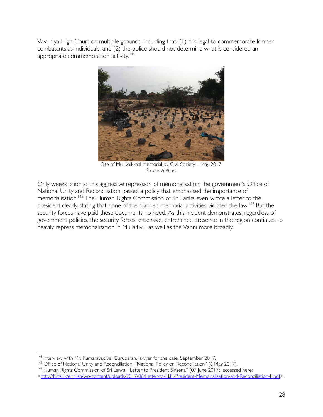Vavuniya High Court on multiple grounds, including that: (1) it is legal to commemorate former combatants as individuals, and (2) the police should not determine what is considered an appropriate commemoration activity.<sup>144</sup>



Site of Mullivaikkaal Memorial by Civil Society – May 2017 *Source: Authors*

Only weeks prior to this aggressive repression of memorialisation, the government's Office of National Unity and Reconciliation passed a policy that emphasised the importance of memorialisation. <sup>145</sup> The Human Rights Commission of Sri Lanka even wrote a letter to the president clearly stating that none of the planned memorial activities violated the law.<sup>146</sup> But the security forces have paid these documents no heed. As this incident demonstrates, regardless of government policies, the security forces' extensive, entrenched presence in the region continues to heavily repress memorialisation in Mullaitivu, as well as the Vanni more broadly.

<sup>&</sup>lt;sup>144</sup> Interview with Mr. Kumaravadivel Guruparan, lawyer for the case, September 2017.<br><sup>145</sup> Office of National Unity and Reconciliation, "National Policy on Reconciliation" (6 May 2017).<br><sup>146</sup> Human Rights Commission of S <http://hrcsl.lk/english/wp-content/uploads/2017/06/Letter-to-H.E.-President-Memorialisation-and-Reconciliation-E.pdf>.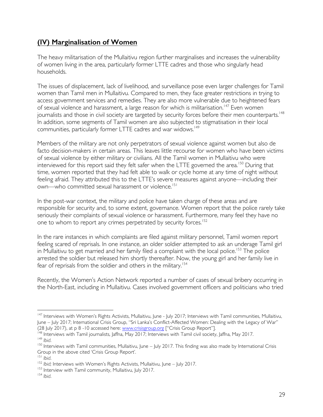# **(IV) Marginalisation of Women**

The heavy militarisation of the Mullaitivu region further marginalises and increases the vulnerability of women living in the area, particularly former LTTE cadres and those who singularly head households.

The issues of displacement, lack of livelihood, and surveillance pose even larger challenges for Tamil women than Tamil men in Mullaitivu. Compared to men, they face greater restrictions in trying to access government services and remedies. They are also more vulnerable due to heightened fears of sexual violence and harassment, a large reason for which is militarisation.<sup>147</sup> Even women journalists and those in civil society are targeted by security forces before their men counterparts.<sup>148</sup> In addition, some segments of Tamil women are also subjected to stigmatisation in their local communities, particularly former LTTE cadres and war widows.<sup>149</sup>

Members of the military are not only perpetrators of sexual violence against women but also de facto decision-makers in certain areas. This leaves little recourse for women who have been victims of sexual violence by either military or civilians. All the Tamil women in Mullaitivu who were interviewed for this report said they felt safer when the LTTE governed the area.<sup>150</sup> During that time, women reported that they had felt able to walk or cycle home at any time of night without feeling afraid. They attributed this to the LTTE's severe measures against anyone—including their own—who committed sexual harassment or violence.<sup>151</sup>

In the post-war context, the military and police have taken charge of these areas and are responsible for security and, to some extent, governance. Women report that the police rarely take seriously their complaints of sexual violence or harassment. Furthermore, many feel they have no one to whom to report any crimes perpetrated by security forces.<sup>152</sup>

In the rare instances in which complaints are filed against military personnel, Tamil women report feeling scared of reprisals. In one instance, an older soldier attempted to ask an underage Tamil girl in Mullaitivu to get married and her family filed a complaint with the local police.<sup>153</sup> The police arrested the soldier but released him shortly thereafter. Now, the young girl and her family live in fear of reprisals from the soldier and others in the military.<sup>154</sup>

Recently, the Women's Action Network reported a number of cases of sexual bribery occurring in the North-East, including in Mullaitivu. Cases involved government officers and politicians who tried

<sup>&</sup>lt;sup>147</sup> Interviews with Women's Rights Activists, Mullaitivu, June - July 2017; Interviews with Tamil communities, Mullaitivu, June – July 2017; International Crisis Group, "Sri Lanka's Conflict-Affected Women: Dealing with the Legacy of War"

<sup>(28</sup> July 2017), at p 8 -10 accessed here: www.crisisgroup.org ["Crisis Group Report"].<br><sup>148</sup> Interviews with Tamil journalists, Jaffna, May 2017; Interviews with Tamil civil society, Jaffna, May 2017.  $^{149}$  lbid.<br><sup>150</sup> Interviews with Tamil communities, Mullaitivu, June – July 2017. This finding was also made by International Crisis

Group in the above cited 'Crisis Group Report'.<br><sup>151</sup> Ibid.

<sup>&</sup>lt;sup>152</sup> *Ibid*; Interviews with Women's Rights Activists, Mullaitivu, June – July 2017.<br><sup>153</sup> Interview with Tamil community, Mullaitivu, July 2017.<br><sup>154</sup> *Ibid.*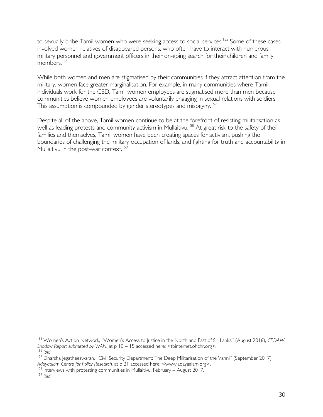to sexually bribe Tamil women who were seeking access to social services.<sup>155</sup> Some of these cases involved women relatives of disappeared persons, who often have to interact with numerous military personnel and government officers in their on-going search for their children and family members. 156

While both women and men are stigmatised by their communities if they attract attention from the military, women face greater marginalisation. For example, in many communities where Tamil individuals work for the CSD, Tamil women employees are stigmatised more than men because communities believe women employees are voluntarily engaging in sexual relations with soldiers. This assumption is compounded by gender stereotypes and misogyny.<sup>157</sup>

Despite all of the above, Tamil women continue to be at the forefront of resisting militarisation as well as leading protests and community activism in Mullaitivu.<sup>158</sup> At great risk to the safety of their families and themselves, Tamil women have been creating spaces for activism, pushing the boundaries of challenging the military occupation of lands, and fighting for truth and accountability in Mullaitivu in the post-war context.<sup>159</sup>

 <sup>155</sup> Women's Action Network, "Women's Access to Justice in the North and East of Sri Lanka" (August 2016), *CEDAW Shadow Report submitted by WAN,* at p 10 – 15 accessed here: <tbinternet.ohchr.org>.

<sup>&</sup>lt;sup>156</sup> *Ibid.*<br><sup>157</sup> Dharsha Jegatheeswaran, ''Civil Security Department: The Deep Militarisation of the Vanni'' (September 2017) *Adayaalam Centre for Policy Research,* at p 21 accessed here: <www.adayaalam.org>.

<sup>158</sup> Interviews with protesting communities in Mullaitivu, February – August 2017. 159 *Ibid*.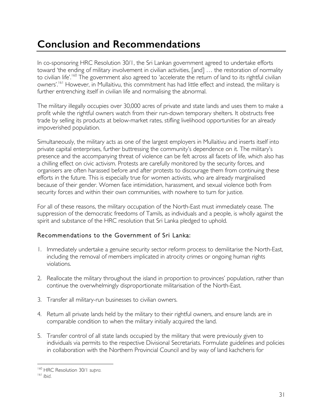# **Conclusion and Recommendations**

In co-sponsoring HRC Resolution 30/1, the Sri Lankan government agreed to undertake efforts toward 'the ending of military involvement in civilian activities, [and] … the restoration of normality to civilian life'.<sup>160</sup> The government also agreed to 'accelerate the return of land to its rightful civilian owners'.<sup>161</sup> However, in Mullaitivu, this commitment has had little effect and instead, the military is further entrenching itself in civilian life and normalising the abnormal.

The military illegally occupies over 30,000 acres of private and state lands and uses them to make a profit while the rightful owners watch from their run-down temporary shelters. It obstructs free trade by selling its products at below-market rates, stifling livelihood opportunities for an already impoverished population.

Simultaneously, the military acts as one of the largest employers in Mullaitivu and inserts itself into private capital enterprises, further buttressing the community's dependence on it. The military's presence and the accompanying threat of violence can be felt across all facets of life, which also has a chilling effect on civic activism. Protests are carefully monitored by the security forces, and organisers are often harassed before and after protests to discourage them from continuing these efforts in the future. This is especially true for women activists, who are already marginalised because of their gender. Women face intimidation, harassment, and sexual violence both from security forces and within their own communities, with nowhere to turn for justice.

For all of these reasons, the military occupation of the North-East must immediately cease. The suppression of the democratic freedoms of Tamils, as individuals and a people, is wholly against the spirit and substance of the HRC resolution that Sri Lanka pledged to uphold.

## Recommendations to the Government of Sri Lanka:

- 1. Immediately undertake a genuine security sector reform process to demilitarise the North-East, including the removal of members implicated in atrocity crimes or ongoing human rights violations.
- 2. Reallocate the military throughout the island in proportion to provinces' population, rather than continue the overwhelmingly disproportionate militarisation of the North-East.
- 3. Transfer all military-run businesses to civilian owners.
- 4. Return all private lands held by the military to their rightful owners, and ensure lands are in comparable condition to when the military initially acquired the land.
- 5. Transfer control of all state lands occupied by the military that were previously given to individuals via permits to the respective Divisional Secretariats. Formulate guidelines and policies in collaboration with the Northern Provincial Council and by way of land kachcheris for

 <sup>160</sup> HRC Resolution 30/1 *supra.* 

<sup>161</sup> *Ibid*.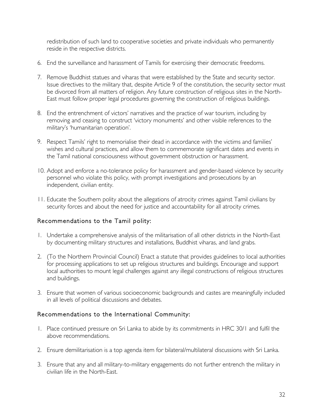redistribution of such land to cooperative societies and private individuals who permanently reside in the respective districts.

- 6. End the surveillance and harassment of Tamils for exercising their democratic freedoms.
- 7. Remove Buddhist statues and viharas that were established by the State and security sector. Issue directives to the military that, despite Article 9 of the constitution, the security sector must be divorced from all matters of religion. Any future construction of religious sites in the North-East must follow proper legal procedures governing the construction of religious buildings.
- 8. End the entrenchment of victors' narratives and the practice of war tourism, including by removing and ceasing to construct 'victory monuments' and other visible references to the military's 'humanitarian operation'.
- 9. Respect Tamils' right to memorialise their dead in accordance with the victims and families' wishes and cultural practices, and allow them to commemorate significant dates and events in the Tamil national consciousness without government obstruction or harassment.
- 10. Adopt and enforce a no-tolerance policy for harassment and gender-based violence by security personnel who violate this policy, with prompt investigations and prosecutions by an independent, civilian entity.
- 11. Educate the Southern polity about the allegations of atrocity crimes against Tamil civilians by security forces and about the need for justice and accountability for all atrocity crimes.

## Recommendations to the Tamil polity:

- 1. Undertake a comprehensive analysis of the militarisation of all other districts in the North-East by documenting military structures and installations, Buddhist viharas, and land grabs.
- 2. (To the Northern Provincial Council) Enact a statute that provides guidelines to local authorities for processing applications to set up religious structures and buildings. Encourage and support local authorities to mount legal challenges against any illegal constructions of religious structures and buildings.
- 3. Ensure that women of various socioeconomic backgrounds and castes are meaningfully included in all levels of political discussions and debates.

## Recommendations to the International Community:

- 1. Place continued pressure on Sri Lanka to abide by its commitments in HRC 30/1 and fulfil the above recommendations.
- 2. Ensure demilitarisation is a top agenda item for bilateral/multilateral discussions with Sri Lanka.
- 3. Ensure that any and all military-to-military engagements do not further entrench the military in civilian life in the North-East.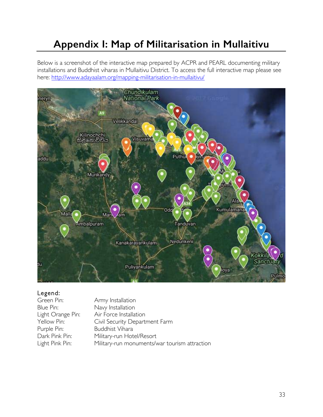# **Appendix I: Map of Militarisation in Mullaitivu**

Below is a screenshot of the interactive map prepared by ACPR and PEARL documenting military installations and Buddhist viharas in Mullaitivu District. To access the full interactive map please see here: http://www.adayaalam.org/mapping-militarisation-in-mullaitivu/



## Legend:

| Green Pin:        | Army Installation                             |
|-------------------|-----------------------------------------------|
| Blue Pin:         | Navy Installation                             |
| Light Orange Pin: | Air Force Installation                        |
| Yellow Pin:       | Civil Security Department Farm                |
| Purple Pin:       | <b>Buddhist Vihara</b>                        |
| Dark Pink Pin:    | Military-run Hotel/Resort                     |
| Light Pink Pin:   | Military-run monuments/war tourism attraction |
|                   |                                               |